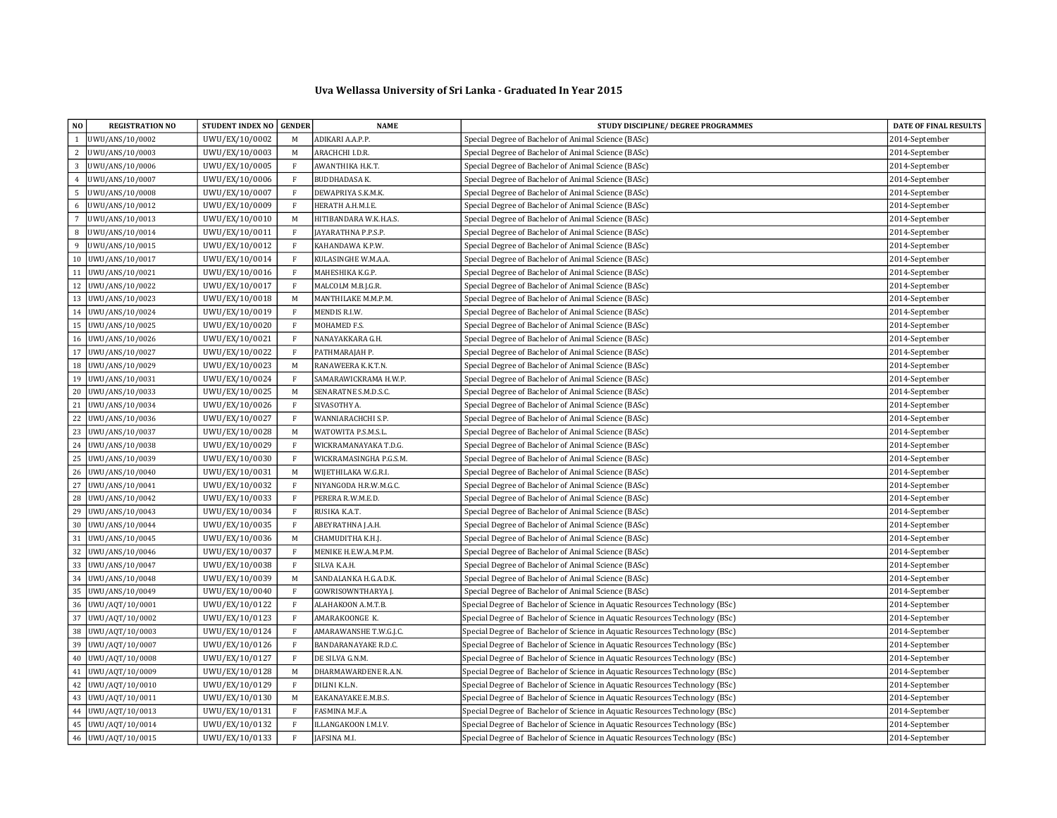## Uva Wellassa University of Sri Lanka - Graduated In Year 2015

| NO.            | <b>REGISTRATION NO</b> | STUDENT INDEX NO GENDER |              | <b>NAME</b>              | STUDY DISCIPLINE / DEGREE PROGRAMMES                                        | DATE OF FINAL RESULTS |
|----------------|------------------------|-------------------------|--------------|--------------------------|-----------------------------------------------------------------------------|-----------------------|
| $\overline{1}$ | UWU/ANS/10/0002        | UWU/EX/10/0002          | M            | ADIKARI A.A.P.P.         | Special Degree of Bachelor of Animal Science (BASc)                         | 2014-September        |
| 2              | UWU/ANS/10/0003        | UWU/EX/10/0003          | M            | ARACHCHI I.D.R.          | Special Degree of Bachelor of Animal Science (BASc)                         | 2014-September        |
| 3              | UWU/ANS/10/0006        | UWU/EX/10/0005          | F            | AWANTHIKA H.K.T.         | Special Degree of Bachelor of Animal Science (BASc)                         | 2014-September        |
| 4              | UWU/ANS/10/0007        | UWU/EX/10/0006          | $\,$ F       | BUDDHADASA K.            | Special Degree of Bachelor of Animal Science (BASc)                         | 2014-September        |
| 5              | UWU/ANS/10/0008        | UWU/EX/10/0007          | $\,$ F       | DEWAPRIYA S.K.M.K.       | Special Degree of Bachelor of Animal Science (BASc)                         | 2014-September        |
| 6              | UWU/ANS/10/0012        | UWU/EX/10/0009          | F            | HERATH A.H.M.I.E.        | Special Degree of Bachelor of Animal Science (BASc)                         | 2014-September        |
| $\overline{7}$ | UWU/ANS/10/0013        | UWU/EX/10/0010          | M            | HITIBANDARA W.K.H.A.S.   | Special Degree of Bachelor of Animal Science (BASc)                         | 2014-September        |
| 8              | UWU/ANS/10/0014        | UWU/EX/10/0011          | $\mathbf{F}$ | AYARATHNA P.P.S.P.       | Special Degree of Bachelor of Animal Science (BASc)                         | 2014-September        |
| $\mathbf{q}$   | UWU/ANS/10/0015        | UWU/EX/10/0012          | $\mathbf{F}$ | KAHANDAWA K.P.W.         | Special Degree of Bachelor of Animal Science (BASc)                         | 2014-September        |
| 10             | UWU/ANS/10/0017        | UWU/EX/10/0014          | $\,$ F       | KULASINGHE W.M.A.A.      | Special Degree of Bachelor of Animal Science (BASc)                         | 2014-September        |
| 11             | UWU/ANS/10/0021        | UWU/EX/10/0016          | $\mathbf{F}$ | MAHESHIKA K.G.P.         | Special Degree of Bachelor of Animal Science (BASc)                         | 2014-September        |
| 12             | UWU/ANS/10/0022        | UWU/EX/10/0017          | $\mathbf{F}$ | MALCOLM M.B.J.G.R.       | Special Degree of Bachelor of Animal Science (BASc)                         | 2014-September        |
| 13             | UWU/ANS/10/0023        | UWU/EX/10/0018          | M            | MANTHILAKE M.M.P.M.      | Special Degree of Bachelor of Animal Science (BASc)                         | 2014-September        |
| 14             | UWU/ANS/10/0024        | UWU/EX/10/0019          | $\mathbf{F}$ | <b>MENDIS R.I.W.</b>     | Special Degree of Bachelor of Animal Science (BASc)                         | 2014-September        |
| 15             | UWU/ANS/10/0025        | UWU/EX/10/0020          | $\mathbf{F}$ | MOHAMED F.S.             | Special Degree of Bachelor of Animal Science (BASc)                         | 2014-September        |
| 16             | UWU/ANS/10/0026        | UWU/EX/10/0021          | $\rm F$      | NANAYAKKARA G.H.         | Special Degree of Bachelor of Animal Science (BASc)                         | 2014-September        |
|                | 17   UWU/ANS/10/0027   | UWU/EX/10/0022          | $\mathbf{F}$ | PATHMARAJAH P.           | Special Degree of Bachelor of Animal Science (BASc)                         | 2014-September        |
| 18             | UWU/ANS/10/0029        | UWU/EX/10/0023          | M            | RANAWEERA K.K.T.N.       | Special Degree of Bachelor of Animal Science (BASc)                         | 2014-September        |
| 19             | UWU/ANS/10/0031        | UWU/EX/10/0024          | $\,$ F       | SAMARAWICKRAMA H.W.P.    | Special Degree of Bachelor of Animal Science (BASc)                         | 2014-September        |
| 20             | UWU/ANS/10/0033        | UWU/EX/10/0025          | M            | SENARATNE S.M.D.S.C.     | Special Degree of Bachelor of Animal Science (BASc)                         | 2014-September        |
| $21\,$         | UWU/ANS/10/0034        | UWU/EX/10/0026          | $\,$ F       | SIVASOTHY A.             | Special Degree of Bachelor of Animal Science (BASc)                         | 2014-September        |
| 22             | UWU/ANS/10/0036        | UWU/EX/10/0027          | $\,$ F       | WANNIARACHCHI S.P.       | Special Degree of Bachelor of Animal Science (BASc)                         | 2014-September        |
| 23             | UWU/ANS/10/0037        | UWU/EX/10/0028          | $\mathbf M$  | WATOWITA P.S.M.S.L       | Special Degree of Bachelor of Animal Science (BASc)                         | 2014-September        |
| 24             | UWU/ANS/10/0038        | UWU/EX/10/0029          | $\mathbf{F}$ | WICKRAMANAYAKA T.D.G.    | Special Degree of Bachelor of Animal Science (BASc)                         | 2014-September        |
| 25             | UWU/ANS/10/0039        | UWU/EX/10/0030          | $\mathbf{F}$ | WICKRAMASINGHA P.G.S.M.  | Special Degree of Bachelor of Animal Science (BASc)                         | 2014-September        |
| 26             | UWU/ANS/10/0040        | UWU/EX/10/0031          | $\mathbf M$  | WIJETHILAKA W.G.R.I.     | Special Degree of Bachelor of Animal Science (BASc)                         | 2014-September        |
| 27             | UWU/ANS/10/0041        | UWU/EX/10/0032          | $\mathbf{F}$ | NIYANGODA H.R.W.M.G.C.   | Special Degree of Bachelor of Animal Science (BASc)                         | 2014-September        |
| 28             | UWU/ANS/10/0042        | UWU/EX/10/0033          | $\rm F$      | PERERA R.W.M.E.D.        | Special Degree of Bachelor of Animal Science (BASc)                         | 2014-September        |
| 29             | UWU/ANS/10/0043        | UWU/EX/10/0034          | $\mathbf{F}$ | RUSIKA K.A.T.            | Special Degree of Bachelor of Animal Science (BASc)                         | 2014-September        |
| 30             | UWU/ANS/10/0044        | UWU/EX/10/0035          | $\mathbf{F}$ | ABEYRATHNA J.A.H.        | Special Degree of Bachelor of Animal Science (BASc)                         | 2014-September        |
| 31             | UWU/ANS/10/0045        | UWU/EX/10/0036          | M            | CHAMUDITHA K.H.J.        | Special Degree of Bachelor of Animal Science (BASc)                         | 2014-September        |
| 32             | UWU/ANS/10/0046        | UWU/EX/10/0037          | $\mathbf{F}$ | MENIKE H.E.W.A.M.P.M.    | Special Degree of Bachelor of Animal Science (BASc)                         | 2014-September        |
| 33             | UWU/ANS/10/0047        | UWU/EX/10/0038          | $\,$ F       | SILVA K.A.H.             | Special Degree of Bachelor of Animal Science (BASc)                         | 2014-September        |
| 34             | UWU/ANS/10/0048        | UWU/EX/10/0039          | $\mathbf M$  | SANDALANKA H.G.A.D.K.    | Special Degree of Bachelor of Animal Science (BASc)                         | 2014-September        |
| 35             | UWU/ANS/10/0049        | UWU/EX/10/0040          | F            | <b>GOWRISOWNTHARYA J</b> | Special Degree of Bachelor of Animal Science (BASc)                         | 2014-September        |
| 36             | UWU/AQT/10/0001        | UWU/EX/10/0122          | $\mathbf{F}$ | ALAHAKOON A.M.T.B.       | Special Degree of Bachelor of Science in Aquatic Resources Technology (BSc) | 2014-September        |
| 37             | UWU/AQT/10/0002        | UWU/EX/10/0123          | $\,$ F       | AMARAKOONGE K.           | Special Degree of Bachelor of Science in Aquatic Resources Technology (BSc) | 2014-September        |
| $38\,$         | UWU/AQT/10/0003        | UWU/EX/10/0124          | $\,$ F       | AMARAWANSHE T.W.G.J.C.   | Special Degree of Bachelor of Science in Aquatic Resources Technology (BSc) | 2014-September        |
| 39             | UWU/AQT/10/0007        | UWU/EX/10/0126          | $\mathbf{F}$ | BANDARANAYAKE R.D.C.     | Special Degree of Bachelor of Science in Aquatic Resources Technology (BSc) | 2014-September        |
| 40             | UWU/AQT/10/0008        | UWU/EX/10/0127          | F            | DE SILVA G.N.M.          | Special Degree of Bachelor of Science in Aquatic Resources Technology (BSc) | 2014-September        |
| 41             | UWU/AQT/10/0009        | UWU/EX/10/0128          | M            | DHARMAWARDENE R.A.N.     | Special Degree of Bachelor of Science in Aquatic Resources Technology (BSc) | 2014-September        |
| 42             | UWU/AQT/10/0010        | UWU/EX/10/0129          | $\mathbf{F}$ | DILINI K.L.N.            | Special Degree of Bachelor of Science in Aquatic Resources Technology (BSc) | 2014-September        |
| 43             | UWU/AQT/10/0011        | UWU/EX/10/0130          | M            | EAKANAYAKE E.M.B.S.      | Special Degree of Bachelor of Science in Aquatic Resources Technology (BSc) | 2014-September        |
| 44             | UWU/AQT/10/0013        | UWU/EX/10/0131          | $\mathbf{F}$ | FASMINA M.F.A.           | Special Degree of Bachelor of Science in Aquatic Resources Technology (BSc) | 2014-September        |
| 45             | UWU/AQT/10/0014        | UWU/EX/10/0132          | $\rm F$      | ILLANGAKOON I.M.I.V.     | Special Degree of Bachelor of Science in Aquatic Resources Technology (BSc) | 2014-September        |
|                | 46 UWU/AQT/10/0015     | UWU/EX/10/0133          | F            | JAFSINA M.I.             | Special Degree of Bachelor of Science in Aquatic Resources Technology (BSc) | 2014-September        |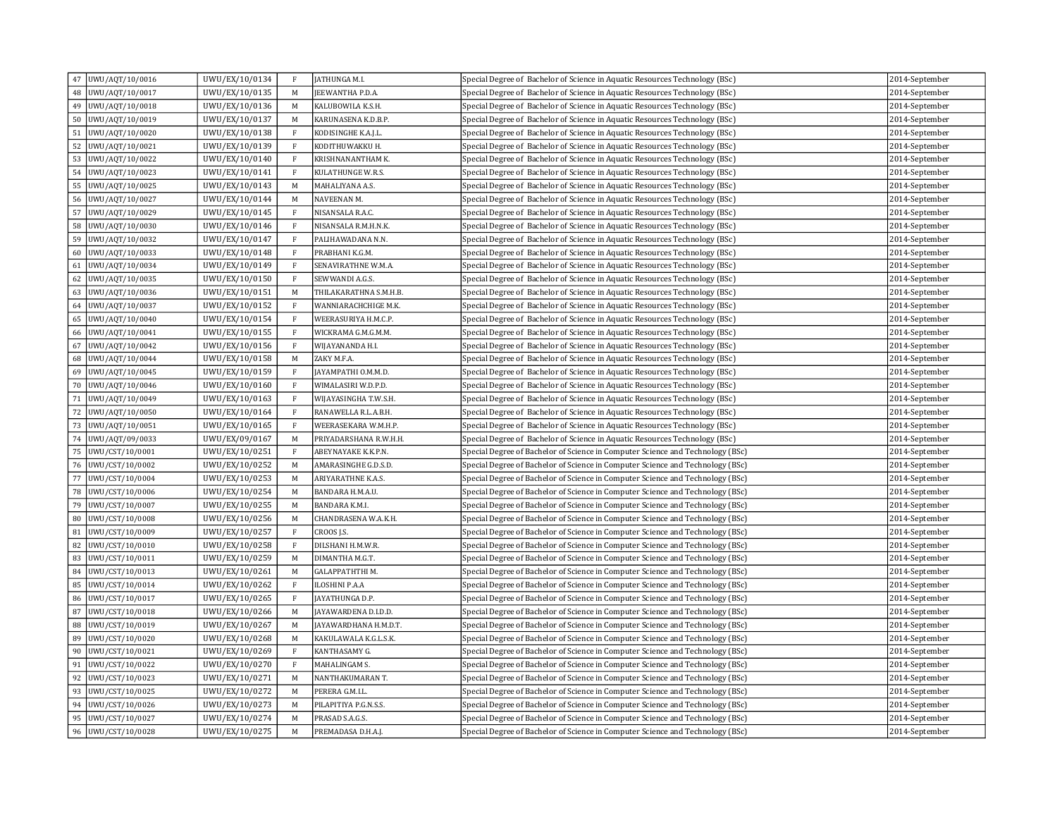| 47       | UWU/AQT/10/0016                    | UWU/EX/10/0134                   | F            | JATHUNGA M.I.                            | Special Degree of Bachelor of Science in Aquatic Resources Technology (BSc)    | 2014-September                   |
|----------|------------------------------------|----------------------------------|--------------|------------------------------------------|--------------------------------------------------------------------------------|----------------------------------|
| 48       | UWU/AQT/10/0017                    | UWU/EX/10/0135                   | M            | EEWANTHA P.D.A.                          | Special Degree of Bachelor of Science in Aquatic Resources Technology (BSc)    | 2014-September                   |
| 49       | UWU/AQT/10/0018                    | UWU/EX/10/0136                   | M            | KALUBOWILA K.S.H.                        | Special Degree of Bachelor of Science in Aquatic Resources Technology (BSc)    | 2014-September                   |
| 50       | UWU/AQT/10/0019                    | UWU/EX/10/0137                   | M            | KARUNASENA K.D.B.P.                      | Special Degree of Bachelor of Science in Aquatic Resources Technology (BSc)    | 2014-September                   |
| 51       | UWU/AQT/10/0020                    | UWU/EX/10/0138                   | $\mathbf{F}$ | KODISINGHE K.A.J.L.                      | Special Degree of Bachelor of Science in Aquatic Resources Technology (BSc)    | 2014-September                   |
| 52       | UWU/AQT/10/0021                    | UWU/EX/10/0139                   | $\mathbf{F}$ | KODITHUWAKKU H.                          | Special Degree of Bachelor of Science in Aquatic Resources Technology (BSc)    | 2014-September                   |
| 53       | UWU/AQT/10/0022                    | UWU/EX/10/0140                   | F            | KRISHNANANTHAM K.                        | Special Degree of Bachelor of Science in Aquatic Resources Technology (BSc)    | 2014-September                   |
| 54       | UWU/AQT/10/0023                    | UWU/EX/10/0141                   | $\mathbf{F}$ | KULATHUNGE W.R.S.                        | Special Degree of Bachelor of Science in Aquatic Resources Technology (BSc)    | 2014-September                   |
| 55       | UWU/AQT/10/0025                    | UWU/EX/10/0143                   | M            | MAHALIYANA A.S.                          | Special Degree of Bachelor of Science in Aquatic Resources Technology (BSc)    | 2014-September                   |
| 56       | UWU/AQT/10/0027                    | UWU/EX/10/0144                   | M            | NAVEENAN M.                              | Special Degree of Bachelor of Science in Aquatic Resources Technology (BSc)    | 2014-September                   |
| 57       | UWU/AQT/10/0029                    | UWU/EX/10/0145                   | $\mathbf{F}$ | NISANSALA R.A.C.                         | Special Degree of Bachelor of Science in Aquatic Resources Technology (BSc)    | 2014-September                   |
| 58       | UWU/AQT/10/0030                    | UWU/EX/10/0146                   | F            | NISANSALA R.M.H.N.K.                     | Special Degree of Bachelor of Science in Aquatic Resources Technology (BSc)    | 2014-September                   |
| 59       | UWU/AQT/10/0032                    | UWU/EX/10/0147                   | $\rm F$      | PALIHAWADANA N.N.                        | Special Degree of Bachelor of Science in Aquatic Resources Technology (BSc)    | 2014-September                   |
| 60       | UWU/AQT/10/0033                    | UWU/EX/10/0148                   | $\mathbf{F}$ | PRABHANI K.G.M.                          | Special Degree of Bachelor of Science in Aquatic Resources Technology (BSc)    | 2014-September                   |
| 61       | UWU/AQT/10/0034                    | UWU/EX/10/0149                   | F            | SENAVIRATHNE W.M.A.                      | Special Degree of Bachelor of Science in Aquatic Resources Technology (BSc)    | 2014-September                   |
| 62       | UWU/AQT/10/0035                    | UWU/EX/10/0150                   | $\mathbf F$  | SEWWANDI A.G.S.                          | Special Degree of Bachelor of Science in Aquatic Resources Technology (BSc)    | 2014-September                   |
| 63       | UWU/AQT/10/0036                    | UWU/EX/10/0151                   | M            | THILAKARATHNA S.M.H.B.                   | Special Degree of Bachelor of Science in Aquatic Resources Technology (BSc)    | 2014-September                   |
| 64       | UWU/AQT/10/0037                    | UWU/EX/10/0152                   | $\rm F$      | WANNIARACHCHIGE M.K.                     | Special Degree of Bachelor of Science in Aquatic Resources Technology (BSc)    | 2014-September                   |
| 65       | UWU/AQT/10/0040                    | UWU/EX/10/0154                   | $\rm F$      | WEERASURIYA H.M.C.P.                     | Special Degree of Bachelor of Science in Aquatic Resources Technology (BSc)    | 2014-September                   |
| 66       | UWU/AQT/10/0041                    | UWU/EX/10/0155                   | $\rm F$      | WICKRAMA G.M.G.M.M.                      | Special Degree of Bachelor of Science in Aquatic Resources Technology (BSc)    | 2014-September                   |
| 67       | UWU/AQT/10/0042                    | UWU/EX/10/0156                   | F            | WIJAYANANDA H.I.                         | Special Degree of Bachelor of Science in Aquatic Resources Technology (BSc)    | 2014-September                   |
| 68       | UWU/AQT/10/0044                    | UWU/EX/10/0158                   | M            | ZAKY M.F.A.                              | Special Degree of Bachelor of Science in Aquatic Resources Technology (BSc)    | 2014-September                   |
| 69       | UWU/AQT/10/0045                    | UWU/EX/10/0159                   | F            | JAYAMPATHI O.M.M.D.                      | Special Degree of Bachelor of Science in Aquatic Resources Technology (BSc)    | 2014-September                   |
| 70       | UWU/AQT/10/0046                    | UWU/EX/10/0160                   | F            | WIMALASIRI W.D.P.D.                      | Special Degree of Bachelor of Science in Aquatic Resources Technology (BSc)    | 2014-September                   |
| 71       | UWU/AQT/10/0049                    | UWU/EX/10/0163                   | $\rm F$      | WIJAYASINGHA T.W.S.H.                    | Special Degree of Bachelor of Science in Aquatic Resources Technology (BSc)    | 2014-September                   |
| 72       | UWU/AQT/10/0050                    | UWU/EX/10/0164                   | $\rm F$      | RANAWELLA R.L.A.B.H.                     | Special Degree of Bachelor of Science in Aquatic Resources Technology (BSc)    | 2014-September                   |
| 73       | UWU/AQT/10/0051                    | UWU/EX/10/0165                   | F            | WEERASEKARA W.M.H.P.                     | Special Degree of Bachelor of Science in Aquatic Resources Technology (BSc)    | 2014-September                   |
| 74       | UWU/AQT/09/0033                    | UWU/EX/09/0167                   | M            | PRIYADARSHANA R.W.H.H.                   | Special Degree of Bachelor of Science in Aquatic Resources Technology (BSc)    | 2014-September                   |
| 75       | UWU/CST/10/0001                    | UWU/EX/10/0251                   | $\mathbf{F}$ | ABEYNAYAKE K.K.P.N.                      | Special Degree of Bachelor of Science in Computer Science and Technology (BSc) | 2014-September                   |
| 76       | UWU/CST/10/0002                    | UWU/EX/10/0252                   | M            | AMARASINGHE G.D.S.D.                     | Special Degree of Bachelor of Science in Computer Science and Technology (BSc) | 2014-September                   |
| 77       | UWU/CST/10/0004                    | UWU/EX/10/0253                   | M            | ARIYARATHNE K.A.S.                       | Special Degree of Bachelor of Science in Computer Science and Technology (BSc) | 2014-September                   |
| 78       | UWU/CST/10/0006                    | UWU/EX/10/0254                   | M            | BANDARA H.M.A.U.                         | Special Degree of Bachelor of Science in Computer Science and Technology (BSc) | 2014-September                   |
| 79       | UWU/CST/10/0007                    | UWU/EX/10/0255                   | M            | BANDARA K.M.I.                           | Special Degree of Bachelor of Science in Computer Science and Technology (BSc) | 2014-September                   |
| 80       | UWU/CST/10/0008                    | UWU/EX/10/0256                   | M            | CHANDRASENA W.A.K.H.                     | Special Degree of Bachelor of Science in Computer Science and Technology (BSc) | 2014-September                   |
| 81       | UWU/CST/10/0009                    | UWU/EX/10/0257                   | $\mathbf{F}$ | CROOS J.S.                               | Special Degree of Bachelor of Science in Computer Science and Technology (BSc) | 2014-September                   |
| 82       | UWU/CST/10/0010                    | UWU/EX/10/0258                   | $\rm F$      | DILSHANI H.M.W.R.                        | Special Degree of Bachelor of Science in Computer Science and Technology (BSc) | 2014-September                   |
| 83       | UWU/CST/10/0011                    | UWU/EX/10/0259                   | M            | DIMANTHA M.G.T.                          | Special Degree of Bachelor of Science in Computer Science and Technology (BSc) | 2014-September                   |
| 84       | UWU/CST/10/0013                    | UWU/EX/10/0261                   | M            | GALAPPATHTHI M.                          | Special Degree of Bachelor of Science in Computer Science and Technology (BSc) | 2014-September                   |
| 85       | UWU/CST/10/0014                    | UWU/EX/10/0262                   | $\rm F$      | ILOSHINI P.A.A                           | Special Degree of Bachelor of Science in Computer Science and Technology (BSc) | 2014-September                   |
| 86       | UWU/CST/10/0017                    | UWU/EX/10/0265                   | F            | JAYATHUNGA D.P.                          | Special Degree of Bachelor of Science in Computer Science and Technology (BSc) | 2014-September                   |
| 87       | UWU/CST/10/0018                    | UWU/EX/10/0266                   | M            | JAYAWARDENA D.I.D.D.                     | Special Degree of Bachelor of Science in Computer Science and Technology (BSc) | 2014-September                   |
| 88       | UWU/CST/10/0019                    | UWU/EX/10/0267                   | M            | JAYAWARDHANA H.M.D.T.                    | Special Degree of Bachelor of Science in Computer Science and Technology (BSc) | 2014-September                   |
| 89       | UWU/CST/10/0020                    | UWU/EX/10/0268                   | M            | KAKULAWALA K.G.L.S.K.                    | Special Degree of Bachelor of Science in Computer Science and Technology (BSc) | 2014-September                   |
| 90       | UWU/CST/10/0021                    | UWU/EX/10/0269                   | F            | KANTHASAMY G.                            | Special Degree of Bachelor of Science in Computer Science and Technology (BSc) | 2014-September                   |
| 91       | UWU/CST/10/0022                    | UWU/EX/10/0270                   | $\,$ F       | MAHALINGAM S.                            | Special Degree of Bachelor of Science in Computer Science and Technology (BSc) | 2014-September                   |
| 92       | UWU/CST/10/0023<br>UWU/CST/10/0025 | UWU/EX/10/0271                   | M            | NANTHAKUMARAN T.                         | Special Degree of Bachelor of Science in Computer Science and Technology (BSc) | 2014-September                   |
| 93       |                                    | UWU/EX/10/0272                   | M            | PERERA G.M.I.L                           | Special Degree of Bachelor of Science in Computer Science and Technology (BSc) | 2014-September                   |
| 94<br>95 | UWU/CST/10/0026<br>UWU/CST/10/0027 | UWU/EX/10/0273<br>UWU/EX/10/0274 | M<br>M       | PILAPITIYA P.G.N.S.S.<br>PRASAD S.A.G.S. | Special Degree of Bachelor of Science in Computer Science and Technology (BSc) | 2014-September<br>2014-September |
|          | 96   UWU/CST/10/0028               |                                  |              |                                          | Special Degree of Bachelor of Science in Computer Science and Technology (BSc) |                                  |
|          |                                    | UWU/EX/10/0275                   | M            | PREMADASA D.H.A.J.                       | Special Degree of Bachelor of Science in Computer Science and Technology (BSc) | 2014-September                   |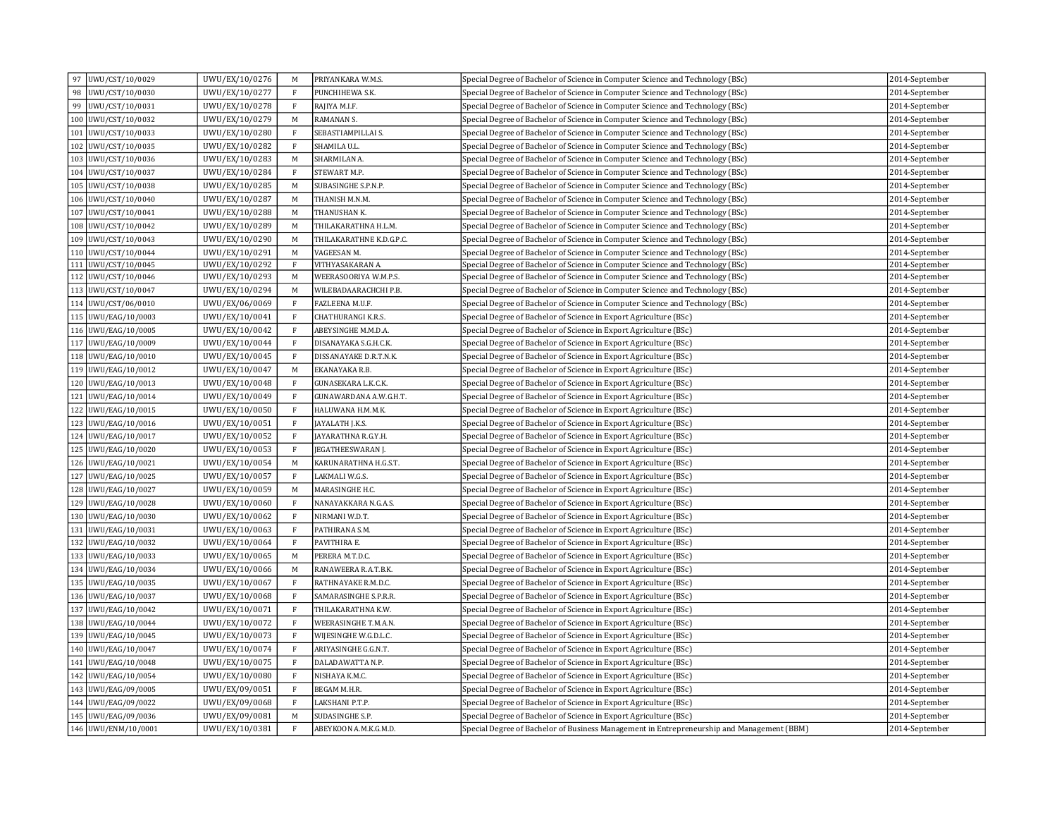| UWU/CST/10/0029<br>97 | UWU/EX/10/0276 | M            | PRIYANKARA W.M.S.        | Special Degree of Bachelor of Science in Computer Science and Technology (BSc)             | 2014-September |
|-----------------------|----------------|--------------|--------------------------|--------------------------------------------------------------------------------------------|----------------|
| 98<br>UWU/CST/10/0030 | UWU/EX/10/0277 | $\mathbf{F}$ | PUNCHIHEWA S.K.          | Special Degree of Bachelor of Science in Computer Science and Technology (BSc)             | 2014-September |
| 99<br>UWU/CST/10/0031 | UWU/EX/10/0278 | $\mathbf{F}$ | RAJIYA M.I.F.            | Special Degree of Bachelor of Science in Computer Science and Technology (BSc)             | 2014-September |
| 100 UWU/CST/10/0032   | UWU/EX/10/0279 | M            | RAMANAN S.               | Special Degree of Bachelor of Science in Computer Science and Technology (BSc)             | 2014-September |
| 101 UWU/CST/10/0033   | UWU/EX/10/0280 | $\mathbf{F}$ | SEBASTIAMPILLAI S.       | Special Degree of Bachelor of Science in Computer Science and Technology (BSc)             | 2014-September |
| 102 UWU/CST/10/0035   | UWU/EX/10/0282 | $\mathbf{F}$ | SHAMILA U.L.             | Special Degree of Bachelor of Science in Computer Science and Technology (BSc)             | 2014-September |
| 103 UWU/CST/10/0036   | UWU/EX/10/0283 | M            | SHARMILAN A.             | Special Degree of Bachelor of Science in Computer Science and Technology (BSc)             | 2014-September |
| 104 UWU/CST/10/0037   | UWU/EX/10/0284 | $\rm F$      | STEWART M.P.             | Special Degree of Bachelor of Science in Computer Science and Technology (BSc)             | 2014-September |
| 105 UWU/CST/10/0038   | UWU/EX/10/0285 | M            | SUBASINGHE S.P.N.P.      | Special Degree of Bachelor of Science in Computer Science and Technology (BSc)             | 2014-September |
| 106 UWU/CST/10/0040   | UWU/EX/10/0287 | M            | THANISH M.N.M.           | Special Degree of Bachelor of Science in Computer Science and Technology (BSc)             | 2014-September |
| 107 UWU/CST/10/0041   | UWU/EX/10/0288 | M            | THANUSHAN K.             | Special Degree of Bachelor of Science in Computer Science and Technology (BSc)             | 2014-September |
| 108 UWU/CST/10/0042   | UWU/EX/10/0289 | M            | THILAKARATHNA H.L.M.     | Special Degree of Bachelor of Science in Computer Science and Technology (BSc)             | 2014-September |
| 109 UWU/CST/10/0043   | UWU/EX/10/0290 | M            | THILAKARATHNE K.D.G.P.C. | Special Degree of Bachelor of Science in Computer Science and Technology (BSc)             | 2014-September |
| 110 UWU/CST/10/0044   | UWU/EX/10/0291 | M            | VAGEESAN M.              | Special Degree of Bachelor of Science in Computer Science and Technology (BSc)             | 2014-September |
| 111 UWU/CST/10/0045   | UWU/EX/10/0292 | $\mathbf{F}$ | VITHYASAKARAN A.         | Special Degree of Bachelor of Science in Computer Science and Technology (BSc)             | 2014-September |
| 112 UWU/CST/10/0046   | UWU/EX/10/0293 | M            | WEERASOORIYA W.M.P.S.    | Special Degree of Bachelor of Science in Computer Science and Technology (BSc)             | 2014-September |
| 113 UWU/CST/10/0047   | UWU/EX/10/0294 | M            | WILEBADAARACHCHI P.B.    | Special Degree of Bachelor of Science in Computer Science and Technology (BSc)             | 2014-September |
| 114 UWU/CST/06/0010   | UWU/EX/06/0069 | $\rm F$      | FAZLEENA M.U.F.          | Special Degree of Bachelor of Science in Computer Science and Technology (BSc)             | 2014-September |
| 115 UWU/EAG/10/0003   | UWU/EX/10/0041 | $\,$ F       | CHATHURANGI K.R.S.       | Special Degree of Bachelor of Science in Export Agriculture (BSc)                          | 2014-September |
| 116 UWU/EAG/10/0005   | UWU/EX/10/0042 | $\mathbf{F}$ | ABEYSINGHE M.M.D.A.      | Special Degree of Bachelor of Science in Export Agriculture (BSc)                          | 2014-September |
| 117 UWU/EAG/10/0009   | UWU/EX/10/0044 | $\mathbf{F}$ | DISANAYAKA S.G.H.C.K.    | Special Degree of Bachelor of Science in Export Agriculture (BSc)                          | 2014-September |
| 118 UWU/EAG/10/0010   | UWU/EX/10/0045 | $\mathbf{F}$ | DISSANAYAKE D.R.T.N.K.   | Special Degree of Bachelor of Science in Export Agriculture (BSc)                          | 2014-September |
| 119 UWU/EAG/10/0012   | UWU/EX/10/0047 | M            | EKANAYAKA R.B.           | Special Degree of Bachelor of Science in Export Agriculture (BSc)                          | 2014-September |
| 120 UWU/EAG/10/0013   | UWU/EX/10/0048 | $\mathbf{F}$ | GUNASEKARA L.K.C.K.      | Special Degree of Bachelor of Science in Export Agriculture (BSc)                          | 2014-September |
| 121 UWU/EAG/10/0014   | UWU/EX/10/0049 | $\mathbf{F}$ | GUNAWARDANA A.W.G.H.T.   | Special Degree of Bachelor of Science in Export Agriculture (BSc)                          | 2014-September |
| 122 UWU/EAG/10/0015   | UWU/EX/10/0050 | $\mathbf{F}$ | HALUWANA H.M.M.K.        | Special Degree of Bachelor of Science in Export Agriculture (BSc)                          | 2014-September |
| 123 UWU/EAG/10/0016   | UWU/EX/10/0051 | $\mathbf{F}$ | JAYALATH J.K.S.          | Special Degree of Bachelor of Science in Export Agriculture (BSc)                          | 2014-September |
| 124 UWU/EAG/10/0017   | UWU/EX/10/0052 | $\mathbf{F}$ | JAYARATHNA R.G.Y.H.      | Special Degree of Bachelor of Science in Export Agriculture (BSc)                          | 2014-September |
| 125 UWU/EAG/10/0020   | UWU/EX/10/0053 | $\mathbf{F}$ | EGATHEESWARAN J.         | Special Degree of Bachelor of Science in Export Agriculture (BSc)                          | 2014-September |
| 126 UWU/EAG/10/0021   | UWU/EX/10/0054 | M            | KARUNARATHNA H.G.S.T.    | Special Degree of Bachelor of Science in Export Agriculture (BSc)                          | 2014-September |
| 127 UWU/EAG/10/0025   | UWU/EX/10/0057 | $\,$ F       | LAKMALI W.G.S.           | Special Degree of Bachelor of Science in Export Agriculture (BSc)                          | 2014-September |
| 128 UWU/EAG/10/0027   | UWU/EX/10/0059 | M            | MARASINGHE H.C.          | Special Degree of Bachelor of Science in Export Agriculture (BSc)                          | 2014-September |
| 129 UWU/EAG/10/0028   | UWU/EX/10/0060 | $\mathbf{F}$ | NANAYAKKARA N.G.A.S.     | Special Degree of Bachelor of Science in Export Agriculture (BSc)                          | 2014-September |
| 130 UWU/EAG/10/0030   | UWU/EX/10/0062 | $\mathbf{F}$ | NIRMANI W.D.T.           | Special Degree of Bachelor of Science in Export Agriculture (BSc)                          | 2014-September |
| 131 UWU/EAG/10/0031   | UWU/EX/10/0063 | $\,$ F       | PATHIRANA S.M.           | Special Degree of Bachelor of Science in Export Agriculture (BSc)                          | 2014-September |
| 132 UWU/EAG/10/0032   | UWU/EX/10/0064 | $\mathbf{F}$ | PAVITHIRA E.             | Special Degree of Bachelor of Science in Export Agriculture (BSc)                          | 2014-September |
| 133 UWU/EAG/10/0033   | UWU/EX/10/0065 | M            | PERERA M.T.D.C.          | Special Degree of Bachelor of Science in Export Agriculture (BSc)                          | 2014-September |
| 134 UWU/EAG/10/0034   | UWU/EX/10/0066 | M            | RANAWEERA R.A.T.B.K.     | Special Degree of Bachelor of Science in Export Agriculture (BSc)                          | 2014-September |
| 135 UWU/EAG/10/0035   | UWU/EX/10/0067 | $\mathbf{F}$ | RATHNAYAKE R.M.D.C.      | Special Degree of Bachelor of Science in Export Agriculture (BSc)                          | 2014-September |
| 136 UWU/EAG/10/0037   | UWU/EX/10/0068 | $\mathbf{F}$ | SAMARASINGHE S.P.R.R.    | Special Degree of Bachelor of Science in Export Agriculture (BSc)                          | 2014-September |
| 137 UWU/EAG/10/0042   | UWU/EX/10/0071 | $\mathbf{F}$ | THILAKARATHNA K.W.       | Special Degree of Bachelor of Science in Export Agriculture (BSc)                          | 2014-September |
| 138 UWU/EAG/10/0044   | UWU/EX/10/0072 | $\mathbf{F}$ | WEERASINGHE T.M.A.N.     | Special Degree of Bachelor of Science in Export Agriculture (BSc)                          | 2014-September |
| 139 UWU/EAG/10/0045   | UWU/EX/10/0073 | $\mathbf{F}$ | WIJESINGHE W.G.D.L.C.    | Special Degree of Bachelor of Science in Export Agriculture (BSc)                          | 2014-September |
| 140 UWU/EAG/10/0047   | UWU/EX/10/0074 | $\rm F$      | ARIYASINGHE G.G.N.T.     | Special Degree of Bachelor of Science in Export Agriculture (BSc)                          | 2014-September |
| 141 UWU/EAG/10/0048   | UWU/EX/10/0075 | $\mathbf{F}$ | DALADAWATTA N.P.         | Special Degree of Bachelor of Science in Export Agriculture (BSc)                          | 2014-September |
| 142 UWU/EAG/10/0054   | UWU/EX/10/0080 | $\mathbf{F}$ | NISHAYA K.M.C.           | Special Degree of Bachelor of Science in Export Agriculture (BSc)                          | 2014-September |
| 143 UWU/EAG/09/0005   | UWU/EX/09/0051 | $\mathbf{F}$ | BEGAM M.H.R.             | Special Degree of Bachelor of Science in Export Agriculture (BSc)                          | 2014-September |
| 144 UWU/EAG/09/0022   | UWU/EX/09/0068 | $\mathbf{F}$ | LAKSHANI P.T.P.          | Special Degree of Bachelor of Science in Export Agriculture (BSc)                          | 2014-September |
| 145 UWU/EAG/09/0036   | UWU/EX/09/0081 | M            | SUDASINGHE S.P.          | Special Degree of Bachelor of Science in Export Agriculture (BSc)                          | 2014-September |
| 146 UWU/ENM/10/0001   | UWU/EX/10/0381 | $\rm F$      | ABEYKOON A.M.K.G.M.D.    | Special Degree of Bachelor of Business Management in Entrepreneurship and Management (BBM) | 2014-September |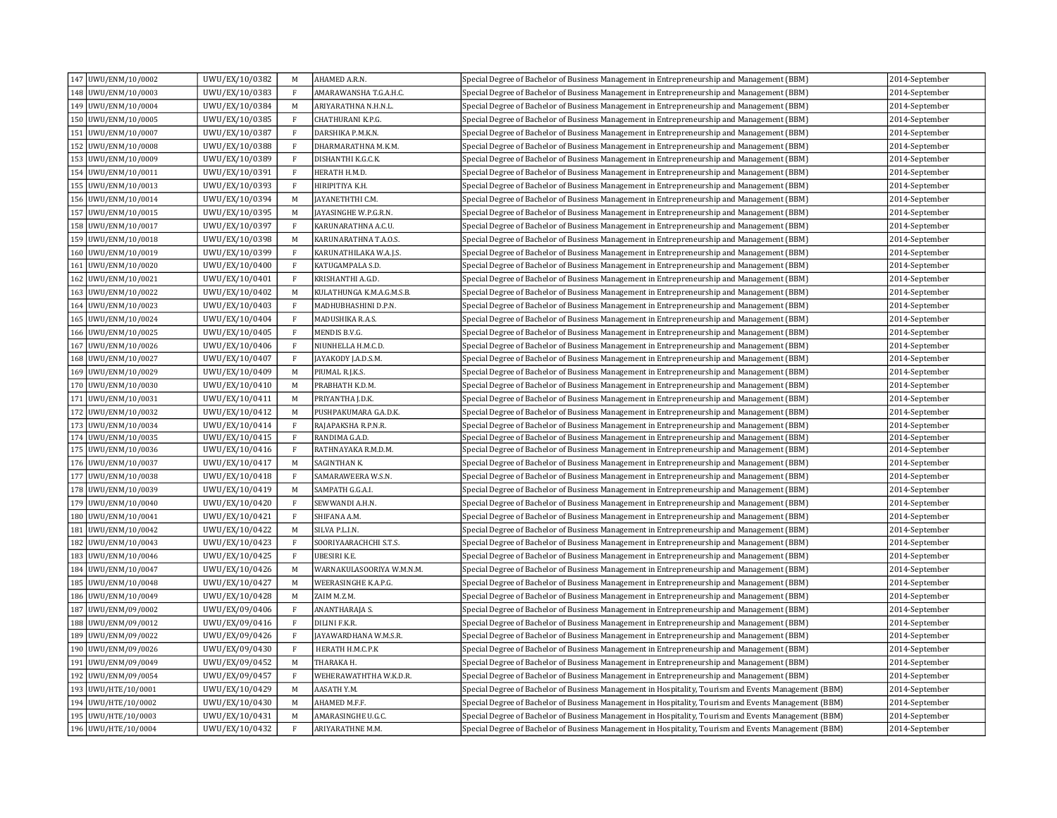| 147 UWU/ENM/10/0002 | UWU/EX/10/0382 | M            | AHAMED A.R.N.             | Special Degree of Bachelor of Business Management in Entrepreneurship and Management (BBM)            | 2014-September |
|---------------------|----------------|--------------|---------------------------|-------------------------------------------------------------------------------------------------------|----------------|
| 148 UWU/ENM/10/0003 | UWU/EX/10/0383 | F            | AMARAWANSHA T.G.A.H.C.    | Special Degree of Bachelor of Business Management in Entrepreneurship and Management (BBM)            | 2014-September |
| 149 UWU/ENM/10/0004 | UWU/EX/10/0384 | M            | ARIYARATHNA N.H.N.L.      | Special Degree of Bachelor of Business Management in Entrepreneurship and Management (BBM)            | 2014-September |
| 150 UWU/ENM/10/0005 | UWU/EX/10/0385 | F            | CHATHURANI K.P.G.         | Special Degree of Bachelor of Business Management in Entrepreneurship and Management (BBM)            | 2014-September |
| 151 UWU/ENM/10/0007 | UWU/EX/10/0387 | $\mathbf{F}$ | DARSHIKA P.M.K.N.         | Special Degree of Bachelor of Business Management in Entrepreneurship and Management (BBM)            | 2014-September |
| 152 UWU/ENM/10/0008 | UWU/EX/10/0388 | $\mathbf{F}$ | DHARMARATHNA M.K.M.       | Special Degree of Bachelor of Business Management in Entrepreneurship and Management (BBM)            | 2014-September |
| 153 UWU/ENM/10/0009 | UWU/EX/10/0389 | $\mathbf{F}$ | DISHANTHI K.G.C.K.        | Special Degree of Bachelor of Business Management in Entrepreneurship and Management (BBM)            | 2014-September |
| 154 UWU/ENM/10/0011 | UWU/EX/10/0391 | $\mathbf{F}$ | HERATH H.M.D.             | Special Degree of Bachelor of Business Management in Entrepreneurship and Management (BBM)            | 2014-September |
| 155 UWU/ENM/10/0013 | UWU/EX/10/0393 | $\mathbf{F}$ | HIRIPITIYA K.H.           | Special Degree of Bachelor of Business Management in Entrepreneurship and Management (BBM)            | 2014-September |
| 156 UWU/ENM/10/0014 | UWU/EX/10/0394 | M            | AYANETHTHI C.M.           | Special Degree of Bachelor of Business Management in Entrepreneurship and Management (BBM)            | 2014-September |
| 157 UWU/ENM/10/0015 | UWU/EX/10/0395 | M            | AYASINGHE W.P.G.R.N.      | Special Degree of Bachelor of Business Management in Entrepreneurship and Management (BBM)            | 2014-September |
| 158 UWU/ENM/10/0017 | UWU/EX/10/0397 | $\mathbf{F}$ | KARUNARATHNA A.C.U.       | Special Degree of Bachelor of Business Management in Entrepreneurship and Management (BBM)            | 2014-September |
| 159 UWU/ENM/10/0018 | UWU/EX/10/0398 | M            | KARUNARATHNA T.A.O.S.     | Special Degree of Bachelor of Business Management in Entrepreneurship and Management (BBM)            | 2014-September |
| 160 UWU/ENM/10/0019 | UWU/EX/10/0399 | $\mathbf{F}$ | KARUNATHILAKA W.A.J.S.    | Special Degree of Bachelor of Business Management in Entrepreneurship and Management (BBM)            | 2014-September |
| 161 UWU/ENM/10/0020 | UWU/EX/10/0400 | $\mathbf{F}$ | KATUGAMPALA S.D.          | Special Degree of Bachelor of Business Management in Entrepreneurship and Management (BBM)            | 2014-September |
| 162 UWU/ENM/10/0021 | UWU/EX/10/0401 | $\mathbf{F}$ | KRISHANTHI A.G.D.         | Special Degree of Bachelor of Business Management in Entrepreneurship and Management (BBM)            | 2014-September |
| 163 UWU/ENM/10/0022 | UWU/EX/10/0402 | M            | KULATHUNGA K.M.A.G.M.S.B. | Special Degree of Bachelor of Business Management in Entrepreneurship and Management (BBM)            | 2014-September |
| 164 UWU/ENM/10/0023 | UWU/EX/10/0403 | $\mathbf{F}$ | MADHUBHASHINI D.P.N.      | Special Degree of Bachelor of Business Management in Entrepreneurship and Management (BBM)            | 2014-September |
| 165 UWU/ENM/10/0024 | UWU/EX/10/0404 | $\mathbf{F}$ | MADUSHIKA R.A.S.          | Special Degree of Bachelor of Business Management in Entrepreneurship and Management (BBM)            | 2014-September |
| 166 UWU/ENM/10/0025 | UWU/EX/10/0405 | $\mathbf{F}$ | MENDIS B.V.G.             | Special Degree of Bachelor of Business Management in Entrepreneurship and Management (BBM)            | 2014-September |
| 167 UWU/ENM/10/0026 | UWU/EX/10/0406 | $\mathbf{F}$ | NIUNHELLA H.M.C.D.        | Special Degree of Bachelor of Business Management in Entrepreneurship and Management (BBM)            | 2014-September |
| 168 UWU/ENM/10/0027 | UWU/EX/10/0407 | $\mathbf{F}$ | AYAKODY J.A.D.S.M.        | Special Degree of Bachelor of Business Management in Entrepreneurship and Management (BBM)            | 2014-September |
| 169 UWU/ENM/10/0029 | UWU/EX/10/0409 | M            | PIUMAL R.J.K.S.           | Special Degree of Bachelor of Business Management in Entrepreneurship and Management (BBM)            | 2014-September |
| 170 UWU/ENM/10/0030 | UWU/EX/10/0410 | M            | PRABHATH K.D.M.           | Special Degree of Bachelor of Business Management in Entrepreneurship and Management (BBM)            | 2014-September |
| 171 UWU/ENM/10/0031 | UWU/EX/10/0411 | M            | PRIYANTHA J.D.K.          | Special Degree of Bachelor of Business Management in Entrepreneurship and Management (BBM)            | 2014-September |
| 172 UWU/ENM/10/0032 | UWU/EX/10/0412 | M            | PUSHPAKUMARA G.A.D.K.     | Special Degree of Bachelor of Business Management in Entrepreneurship and Management (BBM)            | 2014-September |
| 173 UWU/ENM/10/0034 | UWU/EX/10/0414 | F            | RAJAPAKSHA R.P.N.R.       | Special Degree of Bachelor of Business Management in Entrepreneurship and Management (BBM)            | 2014-September |
| 174 UWU/ENM/10/0035 | UWU/EX/10/0415 | $\rm F$      | RANDIMA G.A.D.            | Special Degree of Bachelor of Business Management in Entrepreneurship and Management (BBM)            | 2014-September |
| 175 UWU/ENM/10/0036 | UWU/EX/10/0416 | $\mathbf{F}$ | RATHNAYAKA R.M.D.M.       | Special Degree of Bachelor of Business Management in Entrepreneurship and Management (BBM)            | 2014-September |
| 176 UWU/ENM/10/0037 | UWU/EX/10/0417 | M            | SAGINTHAN K.              | Special Degree of Bachelor of Business Management in Entrepreneurship and Management (BBM)            | 2014-September |
| 177 UWU/ENM/10/0038 | UWU/EX/10/0418 | $\mathbf{F}$ | SAMARAWEERA W.S.N.        | Special Degree of Bachelor of Business Management in Entrepreneurship and Management (BBM)            | 2014-September |
| 178 UWU/ENM/10/0039 | UWU/EX/10/0419 | M            | SAMPATH G.G.A.I.          | Special Degree of Bachelor of Business Management in Entrepreneurship and Management (BBM)            | 2014-September |
| 179 UWU/ENM/10/0040 | UWU/EX/10/0420 | $\mathbf{F}$ | SEWWANDI A.H.N.           | Special Degree of Bachelor of Business Management in Entrepreneurship and Management (BBM)            | 2014-September |
| 180 UWU/ENM/10/0041 | UWU/EX/10/0421 | $\mathbf{F}$ | SHIFANA A.M.              | Special Degree of Bachelor of Business Management in Entrepreneurship and Management (BBM)            | 2014-September |
| 181 UWU/ENM/10/0042 | UWU/EX/10/0422 | M            | SILVA P.L.I.N.            | Special Degree of Bachelor of Business Management in Entrepreneurship and Management (BBM)            | 2014-September |
| 182 UWU/ENM/10/0043 | UWU/EX/10/0423 | $\mathbf{F}$ | SOORIYAARACHCHI S.T.S.    | Special Degree of Bachelor of Business Management in Entrepreneurship and Management (BBM)            | 2014-September |
| 183 UWU/ENM/10/0046 | UWU/EX/10/0425 | F            | UBESIRI K.E.              | Special Degree of Bachelor of Business Management in Entrepreneurship and Management (BBM)            | 2014-September |
| 184 UWU/ENM/10/0047 | UWU/EX/10/0426 | M            | WARNAKULASOORIYA W.M.N.M. | Special Degree of Bachelor of Business Management in Entrepreneurship and Management (BBM)            | 2014-September |
| 185 UWU/ENM/10/0048 | UWU/EX/10/0427 | M            | WEERASINGHE K.A.P.G.      | Special Degree of Bachelor of Business Management in Entrepreneurship and Management (BBM)            | 2014-September |
| 186 UWU/ENM/10/0049 | UWU/EX/10/0428 | M            | ZAIM M.Z.M.               | Special Degree of Bachelor of Business Management in Entrepreneurship and Management (BBM)            | 2014-September |
| 187 UWU/ENM/09/0002 | UWU/EX/09/0406 | $\mathbf{F}$ | ANANTHARAJA S.            | Special Degree of Bachelor of Business Management in Entrepreneurship and Management (BBM)            | 2014-September |
| 188 UWU/ENM/09/0012 | UWU/EX/09/0416 | $\mathbf{F}$ | DILINI F.K.R.             | Special Degree of Bachelor of Business Management in Entrepreneurship and Management (BBM)            | 2014-September |
| 189 UWU/ENM/09/0022 | UWU/EX/09/0426 | $\mathbf{F}$ | AYAWARDHANA W.M.S.R.      | Special Degree of Bachelor of Business Management in Entrepreneurship and Management (BBM)            | 2014-September |
| 190 UWU/ENM/09/0026 | UWU/EX/09/0430 | $\mathbf{F}$ | HERATH H.M.C.P.K          | Special Degree of Bachelor of Business Management in Entrepreneurship and Management (BBM)            | 2014-September |
| 191 UWU/ENM/09/0049 | UWU/EX/09/0452 | M            | THARAKA H.                | Special Degree of Bachelor of Business Management in Entrepreneurship and Management (BBM)            | 2014-September |
| 192 UWU/ENM/09/0054 | UWU/EX/09/0457 | $\mathbf{F}$ | WEHERAWATHTHA W.K.D.R.    | Special Degree of Bachelor of Business Management in Entrepreneurship and Management (BBM)            | 2014-September |
| 193 UWU/HTE/10/0001 | UWU/EX/10/0429 | M            | AASATH Y.M.               | (BBM) Special Degree of Bachelor of Business Management in Hospitality, Tourism and Events Management | 2014-September |
| 194 UWU/HTE/10/0002 | UWU/EX/10/0430 | M            | AHAMED M.F.F.             | Special Degree of Bachelor of Business Management in Hospitality, Tourism and Events Management (BBM) | 2014-September |
| 195 UWU/HTE/10/0003 | UWU/EX/10/0431 | M            | AMARASINGHE U.G.C.        | Special Degree of Bachelor of Business Management in Hospitality, Tourism and Events Management (BBM) | 2014-September |
| 196 UWU/HTE/10/0004 | UWU/EX/10/0432 | $\mathbf{F}$ | ARIYARATHNE M.M.          | Special Degree of Bachelor of Business Management in Hospitality, Tourism and Events Management (BBM) | 2014-September |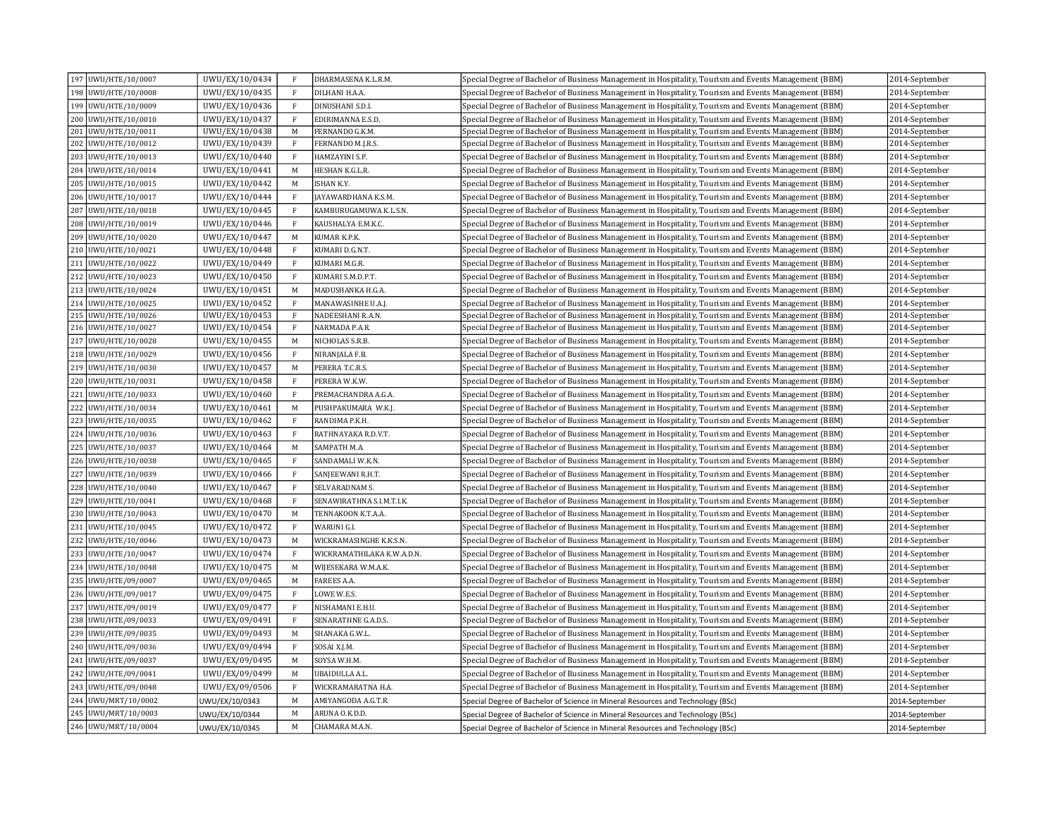| 197 UWU/HTE/10/0007    | UWU/EX/10/0434 | $\mathbf{F}$ | DHARMASENA K.L.R.M.        | Special Degree of Bachelor of Business Management in Hospitality, Tourism and Events Management (BBM) | 2014-September |
|------------------------|----------------|--------------|----------------------------|-------------------------------------------------------------------------------------------------------|----------------|
| 198 UWU/HTE/10/0008    | UWU/EX/10/0435 | $\mathbf{F}$ | DILHANI H.A.A.             | Special Degree of Bachelor of Business Management in Hospitality, Tourism and Events Management (BBM) | 2014-September |
| 199 UWU/HTE/10/0009    | UWU/EX/10/0436 | $\mathbf{F}$ | DINUSHANI S.D.I.           | (BBM) Special Degree of Bachelor of Business Management in Hospitality, Tourism and Events Management | 2014-September |
| 200 UWU/HTE/10/0010    | UWU/EX/10/0437 | $\mathbf{F}$ | EDIRIMANNA E.S.D.          | Special Degree of Bachelor of Business Management in Hospitality, Tourism and Events Management (BBM) | 2014-September |
| 201<br>UWU/HTE/10/0011 | UWU/EX/10/0438 | M            | FERNANDO G.K.M.            | Special Degree of Bachelor of Business Management in Hospitality, Tourism and Events Management (BBM) | 2014-September |
| 202 UWU/HTE/10/0012    | UWU/EX/10/0439 | $\mathbf{F}$ | FERNANDO M.J.R.S.          | Special Degree of Bachelor of Business Management in Hospitality, Tourism and Events Management (BBM) | 2014-September |
| 203 UWU/HTE/10/0013    | UWU/EX/10/0440 | $\mathbf{F}$ | HAMZAYINI S.P.             | Special Degree of Bachelor of Business Management in Hospitality, Tourism and Events Management (BBM) | 2014-September |
| 204 UWU/HTE/10/0014    | UWU/EX/10/0441 | M            | HESHAN K.G.L.R.            | Special Degree of Bachelor of Business Management in Hospitality, Tourism and Events Management (BBM) | 2014-September |
| 205 UWU/HTE/10/0015    | UWU/EX/10/0442 | M            | ISHAN K.Y.                 | Special Degree of Bachelor of Business Management in Hospitality, Tourism and Events Management (BBM) | 2014-September |
| 206 UWU/HTE/10/0017    | UWU/EX/10/0444 | $\mathbf{F}$ | AYAWARDHANA K.S.M.         | Special Degree of Bachelor of Business Management in Hospitality, Tourism and Events Management (BBM) | 2014-September |
| 207 UWU/HTE/10/0018    | UWU/EX/10/0445 | F            | KAMBURUGAMUWA K.L.S.N.     | Special Degree of Bachelor of Business Management in Hospitality, Tourism and Events Management (BBM) | 2014-September |
| 208 UWU/HTE/10/0019    | UWU/EX/10/0446 | $\mathbf{F}$ | KAUSHALYA E.M.K.C.         | Special Degree of Bachelor of Business Management in Hospitality, Tourism and Events Management (BBM) | 2014-September |
| 209 UWU/HTE/10/0020    | UWU/EX/10/0447 | M            | KUMAR K.P.K.               | Special Degree of Bachelor of Business Management in Hospitality, Tourism and Events Management (BBM) | 2014-September |
| 210 UWU/HTE/10/0021    | UWU/EX/10/0448 | $\mathbf{F}$ | KUMARI D.G.N.T.            | Special Degree of Bachelor of Business Management in Hospitality, Tourism and Events Management (BBM) | 2014-September |
| 211 UWU/HTE/10/0022    | UWU/EX/10/0449 | F            | KUMARI M.G.R.              | Special Degree of Bachelor of Business Management in Hospitality, Tourism and Events Management (BBM) | 2014-September |
| 212 UWU/HTE/10/0023    | UWU/EX/10/0450 | $\mathbf{F}$ | KUMARI S.M.D.P.T.          | Special Degree of Bachelor of Business Management in Hospitality, Tourism and Events Management (BBM) | 2014-September |
| 213 UWU/HTE/10/0024    | UWU/EX/10/0451 | M            | MADUSHANKA H.G.A           | Special Degree of Bachelor of Business Management in Hospitality, Tourism and Events Management (BBM) | 2014-September |
| 214 UWU/HTE/10/0025    | UWU/EX/10/0452 | $\mathbf{F}$ | MANAWASINHE U.A.J          | Special Degree of Bachelor of Business Management in Hospitality, Tourism and Events Management (BBM) | 2014-September |
| 215<br>UWU/HTE/10/0026 | UWU/EX/10/0453 | $\mathbf{F}$ | NADEESHANI R.A.N.          | (BBM) Special Degree of Bachelor of Business Management in Hospitality, Tourism and Events Management | 2014-September |
| 216 UWU/HTE/10/0027    | UWU/EX/10/0454 | $\rm F$      | NARMADA P.A.R.             | Special Degree of Bachelor of Business Management in Hospitality, Tourism and Events Management (BBM) | 2014-September |
| 217 UWU/HTE/10/0028    | UWU/EX/10/0455 | M            | NICHOLAS S.R.B.            | Special Degree of Bachelor of Business Management in Hospitality, Tourism and Events Management (BBM) | 2014-September |
| 218 UWU/HTE/10/0029    | UWU/EX/10/0456 | $\rm F$      | NIRANJALA F.B.             | Special Degree of Bachelor of Business Management in Hospitality, Tourism and Events Management (BBM) | 2014-September |
| 219 UWU/HTE/10/0030    | UWU/EX/10/0457 | M            | PERERA T.C.R.S.            | Special Degree of Bachelor of Business Management in Hospitality, Tourism and Events Management (BBM) | 2014-September |
| 220 UWU/HTE/10/0031    | UWU/EX/10/0458 | $\rm F$      | PERERA W.K.W.              | Special Degree of Bachelor of Business Management in Hospitality, Tourism and Events Management (BBM) | 2014-September |
| 221 UWU/HTE/10/0033    | UWU/EX/10/0460 | $\mathbf{F}$ | PREMACHANDRA A.G.A.        | Special Degree of Bachelor of Business Management in Hospitality, Tourism and Events Management (BBM) | 2014-September |
| 222 UWU/HTE/10/0034    | UWU/EX/10/0461 | M            | PUSHPAKUMARA W.K.J.        | Special Degree of Bachelor of Business Management in Hospitality, Tourism and Events Management (BBM) | 2014-September |
| 223 UWU/HTE/10/0035    | UWU/EX/10/0462 | $\mathbf{F}$ | RANDIMA P.K.H.             | Special Degree of Bachelor of Business Management in Hospitality, Tourism and Events Management (BBM) | 2014-September |
| 224 UWU/HTE/10/0036    | UWU/EX/10/0463 | $\,$ F       | RATHNAYAKA R.D.V.T.        | Special Degree of Bachelor of Business Management in Hospitality, Tourism and Events Management (BBM) | 2014-September |
| 225 UWU/HTE/10/0037    | UWU/EX/10/0464 | M            | SAMPATH M.A.               | Special Degree of Bachelor of Business Management in Hospitality, Tourism and Events Management (BBM) | 2014-September |
| 226 UWU/HTE/10/0038    | UWU/EX/10/0465 | $\rm F$      | SANDAMALI W.K.N.           | Special Degree of Bachelor of Business Management in Hospitality, Tourism and Events Management (BBM) | 2014-September |
| 227 UWU/HTE/10/0039    | UWU/EX/10/0466 | $\mathbf{F}$ | SANJEEWANI R.H.T.          | Special Degree of Bachelor of Business Management in Hospitality, Tourism and Events Management (BBM) | 2014-September |
| 228 UWU/HTE/10/0040    | UWU/EX/10/0467 | $\,$ F       | SELVARADNAM S.             | Special Degree of Bachelor of Business Management in Hospitality, Tourism and Events Management (BBM) | 2014-September |
| 229 UWU/HTE/10/0041    | UWU/EX/10/0468 | $\mathbf{F}$ | SENAWIRATHNA S.I.M.T.I.K.  | Special Degree of Bachelor of Business Management in Hospitality, Tourism and Events Management (BBM) | 2014-September |
| 230 UWU/HTE/10/0043    | UWU/EX/10/0470 | M            | TENNAKOON K.T.A.A.         | Special Degree of Bachelor of Business Management in Hospitality, Tourism and Events Management (BBM) | 2014-September |
| 231 UWU/HTE/10/0045    | UWU/EX/10/0472 | $\mathbf{F}$ | WARUNI G.I.                | Special Degree of Bachelor of Business Management in Hospitality, Tourism and Events Management (BBM) | 2014-September |
| 232 UWU/HTE/10/0046    | UWU/EX/10/0473 | M            | WICKRAMASINGHE K.K.S.N.    | Special Degree of Bachelor of Business Management in Hospitality, Tourism and Events Management (BBM) | 2014-September |
| 233 UWU/HTE/10/0047    | UWU/EX/10/0474 | $\mathbf{F}$ | WICKRAMATHILAKA K.W.A.D.N. | Special Degree of Bachelor of Business Management in Hospitality, Tourism and Events Management (BBM) | 2014-September |
| 234 UWU/HTE/10/0048    | UWU/EX/10/0475 | M            | WIJESEKARA W.M.A.K.        | Special Degree of Bachelor of Business Management in Hospitality, Tourism and Events Management (BBM) | 2014-September |
| 235 UWU/HTE/09/0007    | UWU/EX/09/0465 | M            | <b>FAREES A.A.</b>         | Special Degree of Bachelor of Business Management in Hospitality, Tourism and Events Management (BBM) | 2014-September |
| 236 UWU/HTE/09/0017    | UWU/EX/09/0475 | $\rm F$      | LOWE W.E.S.                | Special Degree of Bachelor of Business Management in Hospitality, Tourism and Events Management (BBM) | 2014-September |
| 237 UWU/HTE/09/0019    | UWU/EX/09/0477 | $\rm F$      | NISHAMANI E.H.U.           | Special Degree of Bachelor of Business Management in Hospitality, Tourism and Events Management (BBM) | 2014-September |
| 238 UWU/HTE/09/0033    | UWU/EX/09/0491 | $\,$ F       | SENARATHNE G.A.D.S.        | Special Degree of Bachelor of Business Management in Hospitality, Tourism and Events Management (BBM) | 2014-September |
| 239 UWU/HTE/09/0035    | UWU/EX/09/0493 | M            | SHANAKA G.W.L.             | Special Degree of Bachelor of Business Management in Hospitality, Tourism and Events Management (BBM) | 2014-September |
| 240 UWU/HTE/09/0036    | UWU/EX/09/0494 | $_{\rm F}$   | SOSAI X.J.M.               | Special Degree of Bachelor of Business Management in Hospitality, Tourism and Events Management (BBM) | 2014-September |
| 241 UWU/HTE/09/0037    | UWU/EX/09/0495 | M            | SOYSA W.H.M.               | Special Degree of Bachelor of Business Management in Hospitality, Tourism and Events Management (BBM) | 2014-September |
| 242 UWU/HTE/09/0041    | UWU/EX/09/0499 | M            | UBAIDULLA A.L.             | Special Degree of Bachelor of Business Management in Hospitality, Tourism and Events Management (BBM) | 2014-September |
| 243 UWU/HTE/09/0048    | UWU/EX/09/0506 | $\rm F$      | WICKRAMARATNA H.A.         | Special Degree of Bachelor of Business Management in Hospitality, Tourism and Events Management (BBM) | 2014-September |
| 244 UWU/MRT/10/0002    | UWU/EX/10/0343 | M            | AMIYANGODA A.G.T.R.        | Special Degree of Bachelor of Science in Mineral Resources and Technology (BSc)                       | 2014-September |
| 245 UWU/MRT/10/0003    | UWU/EX/10/0344 | M            | ARUNA O.K.D.D.             | Special Degree of Bachelor of Science in Mineral Resources and Technology (BSc)                       | 2014-September |
| 246 UWU/MRT/10/0004    | UWU/EX/10/0345 | M            | CHAMARA M.A.N.             | Special Degree of Bachelor of Science in Mineral Resources and Technology (BSc)                       | 2014-September |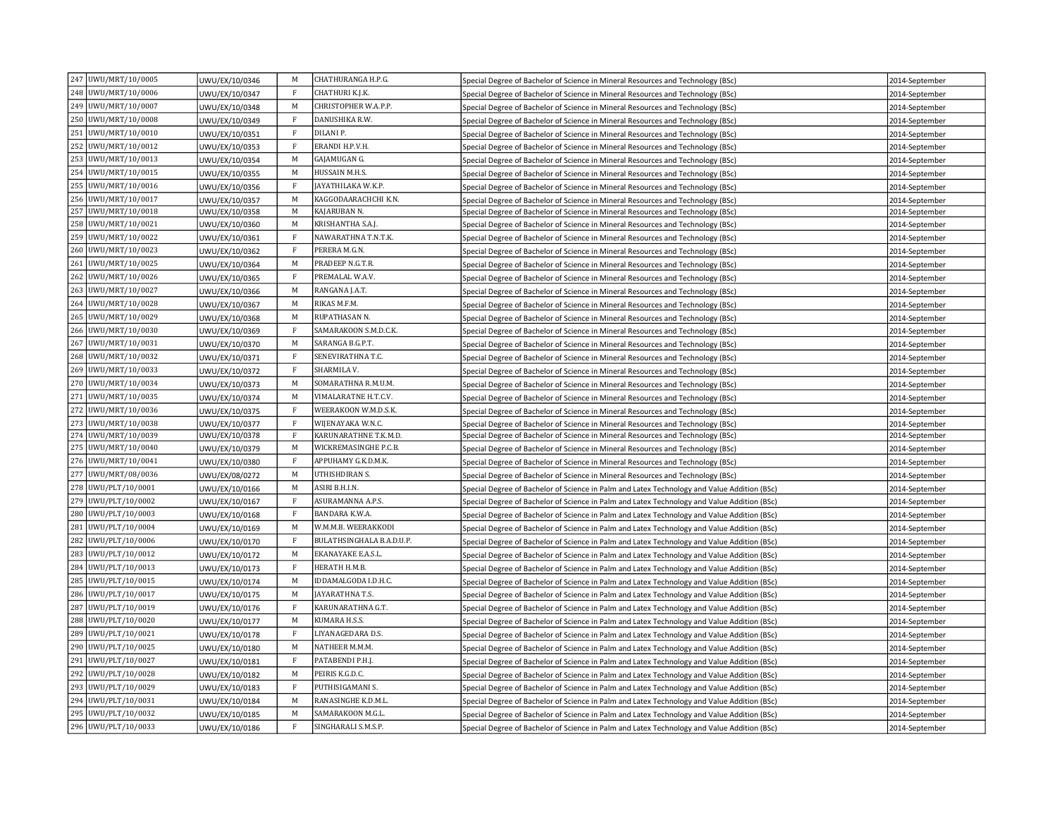|     | 247 UWU/MRT/10/0005 | UWU/EX/10/0346 | M            | CHATHURANGA H.P.G.        | Special Degree of Bachelor of Science in Mineral Resources and Technology (BSc)             | 2014-September |
|-----|---------------------|----------------|--------------|---------------------------|---------------------------------------------------------------------------------------------|----------------|
|     | 248 UWU/MRT/10/0006 | UWU/EX/10/0347 | F            | CHATHURI K.I.K.           | Special Degree of Bachelor of Science in Mineral Resources and Technology (BSc)             | 2014-September |
|     | 249 UWU/MRT/10/0007 | UWU/EX/10/0348 | M            | CHRISTOPHER W.A.P.P.      | Special Degree of Bachelor of Science in Mineral Resources and Technology (BSc)             | 2014-September |
|     | 250 UWU/MRT/10/0008 | UWU/EX/10/0349 | F            | DANUSHIKA R.W.            | Special Degree of Bachelor of Science in Mineral Resources and Technology (BSc)             | 2014-September |
|     | 251 UWU/MRT/10/0010 | UWU/EX/10/0351 | F            | DILANI P.                 | Special Degree of Bachelor of Science in Mineral Resources and Technology (BSc)             | 2014-September |
|     | 252 UWU/MRT/10/0012 | UWU/EX/10/0353 | $\mathbf{F}$ | ERANDI H.P.V.H.           | Special Degree of Bachelor of Science in Mineral Resources and Technology (BSc)             | 2014-September |
|     | 253 UWU/MRT/10/0013 | UWU/EX/10/0354 | M            | GAJAMUGAN G.              | Special Degree of Bachelor of Science in Mineral Resources and Technology (BSc)             | 2014-September |
|     | 254 UWU/MRT/10/0015 | UWU/EX/10/0355 | M            | HUSSAIN M.H.S.            | Special Degree of Bachelor of Science in Mineral Resources and Technology (BSc)             | 2014-September |
|     | 255 UWU/MRT/10/0016 | UWU/EX/10/0356 | F            | AYATHILAKA W.K.P.         | Special Degree of Bachelor of Science in Mineral Resources and Technology (BSc)             | 2014-September |
|     | 256 UWU/MRT/10/0017 | UWU/EX/10/0357 | M            | KAGGODAARACHCHI K.N.      | Special Degree of Bachelor of Science in Mineral Resources and Technology (BSc)             | 2014-September |
|     | 257 UWU/MRT/10/0018 | UWU/EX/10/0358 | M            | KAJARUBAN N.              | Special Degree of Bachelor of Science in Mineral Resources and Technology (BSc)             | 2014-September |
|     | 258 UWU/MRT/10/0021 | UWU/EX/10/0360 | M            | KRISHANTHA S.A.J.         | Special Degree of Bachelor of Science in Mineral Resources and Technology (BSc)             | 2014-September |
|     | 259 UWU/MRT/10/0022 | UWU/EX/10/0361 | $\rm F$      | NAWARATHNA T.N.T.K.       | Special Degree of Bachelor of Science in Mineral Resources and Technology (BSc)             | 2014-September |
|     | 260 UWU/MRT/10/0023 | UWU/EX/10/0362 | $\mathbf{F}$ | PERERA M.G.N.             | Special Degree of Bachelor of Science in Mineral Resources and Technology (BSc)             | 2014-September |
|     | 261 UWU/MRT/10/0025 | UWU/EX/10/0364 | M            | PRADEEP N.G.T.R.          | Special Degree of Bachelor of Science in Mineral Resources and Technology (BSc)             | 2014-September |
|     | 262 UWU/MRT/10/0026 | UWU/EX/10/0365 | $\mathbf{F}$ | PREMALAL W.A.V.           | Special Degree of Bachelor of Science in Mineral Resources and Technology (BSc)             | 2014-September |
|     | 263 UWU/MRT/10/0027 | UWU/EX/10/0366 | M            | RANGANA J.A.T.            | Special Degree of Bachelor of Science in Mineral Resources and Technology (BSc)             | 2014-September |
|     | 264 UWU/MRT/10/0028 | UWU/EX/10/0367 | M            | RIKAS M.F.M.              | Special Degree of Bachelor of Science in Mineral Resources and Technology (BSc)             | 2014-September |
|     | 265 UWU/MRT/10/0029 | UWU/EX/10/0368 | M            | RUPATHASAN N.             | Special Degree of Bachelor of Science in Mineral Resources and Technology (BSc)             | 2014-September |
|     | 266 UWU/MRT/10/0030 | UWU/EX/10/0369 | $\rm F$      | SAMARAKOON S.M.D.C.K.     | Special Degree of Bachelor of Science in Mineral Resources and Technology (BSc)             | 2014-September |
| 267 | UWU/MRT/10/0031     | UWU/EX/10/0370 | M            | SARANGA B.G.P.T.          | Special Degree of Bachelor of Science in Mineral Resources and Technology (BSc)             | 2014-September |
|     | 268 UWU/MRT/10/0032 | UWU/EX/10/0371 | $\mathbf{F}$ | SENEVIRATHNA T.C.         | Special Degree of Bachelor of Science in Mineral Resources and Technology (BSc)             | 2014-September |
|     | 269 UWU/MRT/10/0033 | UWU/EX/10/0372 | $\mathbf{F}$ | SHARMILA V.               | Special Degree of Bachelor of Science in Mineral Resources and Technology (BSc)             | 2014-September |
|     | 270 UWU/MRT/10/0034 | UWU/EX/10/0373 | $\mathbf M$  | SOMARATHNA R.M.U.M.       | Special Degree of Bachelor of Science in Mineral Resources and Technology (BSc)             | 2014-September |
| 271 | UWU/MRT/10/0035     | UWU/EX/10/0374 | M            | VIMALARATNE H.T.C.V.      | Special Degree of Bachelor of Science in Mineral Resources and Technology (BSc)             | 2014-September |
|     | 272 UWU/MRT/10/0036 | UWU/EX/10/0375 | F            | WEERAKOON W.M.D.S.K.      | Special Degree of Bachelor of Science in Mineral Resources and Technology (BSc)             | 2014-September |
| 273 | UWU/MRT/10/0038     | UWU/EX/10/0377 | $\mathbf{F}$ | WIJENAYAKA W.N.C.         | Special Degree of Bachelor of Science in Mineral Resources and Technology (BSc)             | 2014-September |
|     | 274 UWU/MRT/10/0039 | UWU/EX/10/0378 | F            | KARUNARATHNE T.K.M.D.     | Special Degree of Bachelor of Science in Mineral Resources and Technology (BSc)             | 2014-September |
|     | 275 UWU/MRT/10/0040 | UWU/EX/10/0379 | M            | WICKREMASINGHE P.C.B.     | Special Degree of Bachelor of Science in Mineral Resources and Technology (BSc)             | 2014-September |
|     | 276 UWU/MRT/10/0041 | UWU/EX/10/0380 | $\rm F$      | APPUHAMY G.K.D.M.K.       | Special Degree of Bachelor of Science in Mineral Resources and Technology (BSc)             | 2014-September |
|     | 277 UWU/MRT/08/0036 | UWU/EX/08/0272 | M            | UTHISHDIRAN S.            | Special Degree of Bachelor of Science in Mineral Resources and Technology (BSc)             | 2014-September |
|     | 278 UWU/PLT/10/0001 | UWU/EX/10/0166 | M            | ASIRI B.H.I.N.            | Special Degree of Bachelor of Science in Palm and Latex Technology and Value Addition (BSc) | 2014-September |
|     | 279 UWU/PLT/10/0002 | UWU/EX/10/0167 | $\rm F$      | ASURAMANNA A.P.S.         | Special Degree of Bachelor of Science in Palm and Latex Technology and Value Addition (BSc) | 2014-September |
|     | 280 UWU/PLT/10/0003 | UWU/EX/10/0168 | $\rm F$      | BANDARA K.W.A.            | Special Degree of Bachelor of Science in Palm and Latex Technology and Value Addition (BSc) | 2014-September |
|     | 281 UWU/PLT/10/0004 | UWU/EX/10/0169 | $\mathbf M$  | W.M.M.B. WEERAKKODI       | Special Degree of Bachelor of Science in Palm and Latex Technology and Value Addition (BSc) | 2014-September |
|     | 282 UWU/PLT/10/0006 | UWU/EX/10/0170 | $\rm F$      | BULATHSINGHALA B.A.D.U.P. | Special Degree of Bachelor of Science in Palm and Latex Technology and Value Addition (BSc) | 2014-September |
|     | 283 UWU/PLT/10/0012 | UWU/EX/10/0172 | M            | EKANAYAKE E.A.S.L.        | Special Degree of Bachelor of Science in Palm and Latex Technology and Value Addition (BSc) | 2014-September |
|     | 284 UWU/PLT/10/0013 | UWU/EX/10/0173 | $\rm F$      | HERATH H.M.B.             | Special Degree of Bachelor of Science in Palm and Latex Technology and Value Addition (BSc) | 2014-September |
|     | 285 UWU/PLT/10/0015 | UWU/EX/10/0174 | M            | IDDAMALGODA I.D.H.C.      | Special Degree of Bachelor of Science in Palm and Latex Technology and Value Addition (BSc) | 2014-September |
|     | 286 UWU/PLT/10/0017 | UWU/EX/10/0175 | M            | <b>JAYARATHNA T.S.</b>    | Special Degree of Bachelor of Science in Palm and Latex Technology and Value Addition (BSc) | 2014-September |
|     | 287 UWU/PLT/10/0019 | UWU/EX/10/0176 | $\rm F$      | KARUNARATHNA G.T.         | Special Degree of Bachelor of Science in Palm and Latex Technology and Value Addition (BSc) | 2014-September |
|     | 288 UWU/PLT/10/0020 | UWU/EX/10/0177 | M            | KUMARA H.S.S.             | Special Degree of Bachelor of Science in Palm and Latex Technology and Value Addition (BSc) | 2014-September |
|     | 289 UWU/PLT/10/0021 | UWU/EX/10/0178 | $\rm F$      | LIYANAGEDARA D.S.         | Special Degree of Bachelor of Science in Palm and Latex Technology and Value Addition (BSc) | 2014-September |
|     | 290 UWU/PLT/10/0025 | UWU/EX/10/0180 | $\mathbf M$  | NATHEER M.M.M.            | Special Degree of Bachelor of Science in Palm and Latex Technology and Value Addition (BSc) | 2014-September |
|     | 291 UWU/PLT/10/0027 | UWU/EX/10/0181 | $\rm F$      | PATABENDI P.H.J.          | Special Degree of Bachelor of Science in Palm and Latex Technology and Value Addition (BSc) | 2014-September |
|     | 292 UWU/PLT/10/0028 | UWU/EX/10/0182 | $\mathbf M$  | PEIRIS K.G.D.C.           | Special Degree of Bachelor of Science in Palm and Latex Technology and Value Addition (BSc) | 2014-September |
|     | 293 UWU/PLT/10/0029 | UWU/EX/10/0183 | $\rm F$      | PUTHISIGAMANI S.          | Special Degree of Bachelor of Science in Palm and Latex Technology and Value Addition (BSc) | 2014-September |
|     | 294 UWU/PLT/10/0031 | UWU/EX/10/0184 | M            | RANASINGHE K.D.M.L.       | Special Degree of Bachelor of Science in Palm and Latex Technology and Value Addition (BSc) | 2014-September |
|     | 295 UWU/PLT/10/0032 | UWU/EX/10/0185 | M            | SAMARAKOON M.G.L.         | Special Degree of Bachelor of Science in Palm and Latex Technology and Value Addition (BSc) | 2014-September |
|     | 296 UWU/PLT/10/0033 | UWU/EX/10/0186 | $\mathbf F$  | SINGHARALI S.M.S.P.       | Special Degree of Bachelor of Science in Palm and Latex Technology and Value Addition (BSc) | 2014-September |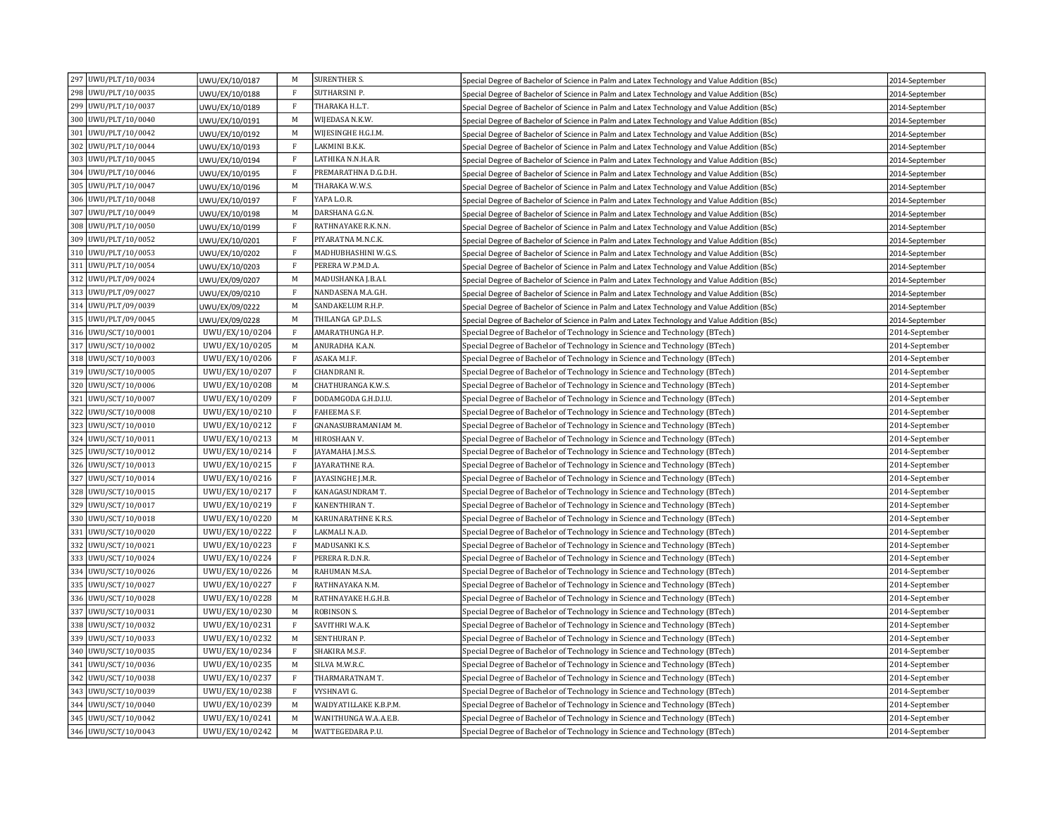| 297 UWU/PLT/10/0034    | UWU/EX/10/0187 | М            | <b>SURENTHER S.</b>    | Special Degree of Bachelor of Science in Palm and Latex Technology and Value Addition (BSc) | 2014-September |
|------------------------|----------------|--------------|------------------------|---------------------------------------------------------------------------------------------|----------------|
| 298 UWU/PLT/10/0035    | UWU/EX/10/0188 | $\mathbf{F}$ | SUTHARSINI P.          | Special Degree of Bachelor of Science in Palm and Latex Technology and Value Addition (BSc) | 2014-September |
| 299 UWU/PLT/10/0037    | UWU/EX/10/0189 | $\mathbf{F}$ | THARAKA H.L.T.         | Special Degree of Bachelor of Science in Palm and Latex Technology and Value Addition (BSc) | 2014-September |
| 300 UWU/PLT/10/0040    | UWU/EX/10/0191 | M            | WIJEDASA N.K.W.        | Special Degree of Bachelor of Science in Palm and Latex Technology and Value Addition (BSc) | 2014-September |
| 301 UWU/PLT/10/0042    | UWU/EX/10/0192 | M            | WIJESINGHE H.G.I.M.    | Special Degree of Bachelor of Science in Palm and Latex Technology and Value Addition (BSc) | 2014-September |
| 302 UWU/PLT/10/0044    | UWU/EX/10/0193 | $\rm F$      | LAKMINI B.K.K.         | Special Degree of Bachelor of Science in Palm and Latex Technology and Value Addition (BSc) | 2014-September |
| 303 UWU/PLT/10/0045    | UWU/EX/10/0194 | $\rm F$      | LATHIKA N.N.H.A.R.     | Special Degree of Bachelor of Science in Palm and Latex Technology and Value Addition (BSc) | 2014-September |
| 304 UWU/PLT/10/0046    | UWU/EX/10/0195 | $\mathbf{F}$ | PREMARATHNA D.G.D.H.   | Special Degree of Bachelor of Science in Palm and Latex Technology and Value Addition (BSc) | 2014-September |
| 305<br>UWU/PLT/10/0047 | UWU/EX/10/0196 | M            | THARAKA W.W.S.         | Special Degree of Bachelor of Science in Palm and Latex Technology and Value Addition (BSc) | 2014-September |
| 306 UWU/PLT/10/0048    | UWU/EX/10/0197 | $\rm F$      | YAPA L.O.R.            | Special Degree of Bachelor of Science in Palm and Latex Technology and Value Addition (BSc) | 2014-September |
| 307 UWU/PLT/10/0049    | UWU/EX/10/0198 | M            | DARSHANA G.G.N.        | Special Degree of Bachelor of Science in Palm and Latex Technology and Value Addition (BSc) | 2014-September |
| 308 UWU/PLT/10/0050    | UWU/EX/10/0199 | $\rm F$      | RATHNAYAKE R.K.N.N.    | Special Degree of Bachelor of Science in Palm and Latex Technology and Value Addition (BSc) | 2014-September |
| 309 UWU/PLT/10/0052    | UWU/EX/10/0201 | $\rm F$      | PIYARATNA M.N.C.K.     | Special Degree of Bachelor of Science in Palm and Latex Technology and Value Addition (BSc) | 2014-September |
| 310 UWU/PLT/10/0053    | UWU/EX/10/0202 | $\mathbf{F}$ | MADHUBHASHINI W.G.S.   | Special Degree of Bachelor of Science in Palm and Latex Technology and Value Addition (BSc) | 2014-September |
| 311 UWU/PLT/10/0054    | UWU/EX/10/0203 | $\rm F$      | PERERA W.P.M.D.A.      | Special Degree of Bachelor of Science in Palm and Latex Technology and Value Addition (BSc) | 2014-September |
| 312 UWU/PLT/09/0024    | UWU/EX/09/0207 | M            | MADUSHANKA J.B.A.I.    | Special Degree of Bachelor of Science in Palm and Latex Technology and Value Addition (BSc) | 2014-September |
| 313 UWU/PLT/09/0027    | UWU/EX/09/0210 | $\rm F$      | NANDASENA M.A.G.H.     | Special Degree of Bachelor of Science in Palm and Latex Technology and Value Addition (BSc) | 2014-September |
| 314 UWU/PLT/09/0039    | UWU/EX/09/0222 | M            | SANDAKELUM R.H.P.      | Special Degree of Bachelor of Science in Palm and Latex Technology and Value Addition (BSc) | 2014-September |
| 315 UWU/PLT/09/0045    | UWU/EX/09/0228 | M            | THILANGA G.P.D.L.S.    | Special Degree of Bachelor of Science in Palm and Latex Technology and Value Addition (BSc) | 2014-September |
| 316 UWU/SCT/10/0001    | UWU/EX/10/0204 | $\rm F$      | AMARATHUNGA H.P.       | Special Degree of Bachelor of Technology in Science and Technology (BTech)                  | 2014-September |
| 317 UWU/SCT/10/0002    | UWU/EX/10/0205 | M            | ANURADHA K.A.N.        | Special Degree of Bachelor of Technology in Science and Technology (BTech)                  | 2014-September |
| 318 UWU/SCT/10/0003    | UWU/EX/10/0206 | $\rm F$      | ASAKA M.I.F.           | Special Degree of Bachelor of Technology in Science and Technology (BTech)                  | 2014-September |
| 319 UWU/SCT/10/0005    | UWU/EX/10/0207 | $\rm F$      | CHANDRANI R.           | Special Degree of Bachelor of Technology in Science and Technology (BTech)                  | 2014-September |
| 320 UWU/SCT/10/0006    | UWU/EX/10/0208 | M            | CHATHURANGA K.W.S.     | Special Degree of Bachelor of Technology in Science and Technology (BTech)                  | 2014-September |
| 321 UWU/SCT/10/0007    | UWU/EX/10/0209 | $\mathbf{F}$ | DODAMGODA G.H.D.I.U.   | Special Degree of Bachelor of Technology in Science and Technology (BTech)                  | 2014-September |
| 322 UWU/SCT/10/0008    | UWU/EX/10/0210 | $\rm F$      | FAHEEMA S.F.           | Special Degree of Bachelor of Technology in Science and Technology (BTech)                  | 2014-September |
| 323 UWU/SCT/10/0010    | UWU/EX/10/0212 | $\mathbf{F}$ | GNANASUBRAMANIAM M.    | Special Degree of Bachelor of Technology in Science and Technology (BTech)                  | 2014-September |
| 324 UWU/SCT/10/0011    | UWU/EX/10/0213 | M            | HIROSHAAN V.           | Special Degree of Bachelor of Technology in Science and Technology (BTech)                  | 2014-September |
| 325 UWU/SCT/10/0012    | UWU/EX/10/0214 | $\rm F$      | JAYAMAHA J.M.S.S.      | Special Degree of Bachelor of Technology in Science and Technology (BTech)                  | 2014-September |
| 326 UWU/SCT/10/0013    | UWU/EX/10/0215 | $\mathbf{F}$ | AYARATHNE R.A.         | Special Degree of Bachelor of Technology in Science and Technology (BTech)                  | 2014-September |
| 327 UWU/SCT/10/0014    | UWU/EX/10/0216 | $\mathbf{F}$ | AYASINGHE J.M.R.       | Special Degree of Bachelor of Technology in Science and Technology (BTech)                  | 2014-September |
| 328 UWU/SCT/10/0015    | UWU/EX/10/0217 | $\mathbf{F}$ | KANAGASUNDRAM T.       | Special Degree of Bachelor of Technology in Science and Technology (BTech)                  | 2014-September |
| 329 UWU/SCT/10/0017    | UWU/EX/10/0219 | $\mathbf{F}$ | KANENTHIRAN T.         | Special Degree of Bachelor of Technology in Science and Technology (BTech)                  | 2014-September |
| 330 UWU/SCT/10/0018    | UWU/EX/10/0220 | M            | KARUNARATHNE K.R.S.    | Special Degree of Bachelor of Technology in Science and Technology (BTech)                  | 2014-September |
| 331 UWU/SCT/10/0020    | UWU/EX/10/0222 | $\mathbf{F}$ | LAKMALI N.A.D.         | Special Degree of Bachelor of Technology in Science and Technology (BTech)                  | 2014-September |
| 332 UWU/SCT/10/0021    | UWU/EX/10/0223 | $\mathbf{F}$ | MADUSANKI K.S.         | Special Degree of Bachelor of Technology in Science and Technology (BTech)                  | 2014-September |
| 333 UWU/SCT/10/0024    | UWU/EX/10/0224 | $\rm F$      | PERERA R.D.N.R.        | Special Degree of Bachelor of Technology in Science and Technology (BTech)                  | 2014-September |
| 334 UWU/SCT/10/0026    | UWU/EX/10/0226 | M            | RAHUMAN M.S.A.         | Special Degree of Bachelor of Technology in Science and Technology (BTech)                  | 2014-September |
| 335 UWU/SCT/10/0027    | UWU/EX/10/0227 | $\mathbf{F}$ | RATHNAYAKA N.M.        | Special Degree of Bachelor of Technology in Science and Technology (BTech)                  | 2014-September |
| 336 UWU/SCT/10/0028    | UWU/EX/10/0228 | M            | RATHNAYAKE H.G.H.B.    | Special Degree of Bachelor of Technology in Science and Technology (BTech)                  | 2014-September |
| 337 UWU/SCT/10/0031    | UWU/EX/10/0230 | M            | ROBINSON S.            | Special Degree of Bachelor of Technology in Science and Technology (BTech)                  | 2014-September |
| 338 UWU/SCT/10/0032    | UWU/EX/10/0231 | $\mathbf{F}$ | SAVITHRI W.A.K.        | Special Degree of Bachelor of Technology in Science and Technology (BTech)                  | 2014-September |
| 339 UWU/SCT/10/0033    | UWU/EX/10/0232 | M            | SENTHURAN P.           | Special Degree of Bachelor of Technology in Science and Technology (BTech)                  | 2014-September |
| 340 UWU/SCT/10/0035    | UWU/EX/10/0234 | $\mathbf{F}$ | SHAKIRA M.S.F.         | Special Degree of Bachelor of Technology in Science and Technology (BTech)                  | 2014-September |
| 341 UWU/SCT/10/0036    | UWU/EX/10/0235 | M            | SILVA M.W.R.C.         | Special Degree of Bachelor of Technology in Science and Technology (BTech)                  | 2014-September |
| 342 UWU/SCT/10/0038    | UWU/EX/10/0237 | $\mathbf{F}$ | THARMARATNAM T.        | Special Degree of Bachelor of Technology in Science and Technology (BTech)                  | 2014-September |
| 343 UWU/SCT/10/0039    | UWU/EX/10/0238 | $\mathbf{F}$ | VYSHNAVI G.            | Special Degree of Bachelor of Technology in Science and Technology (BTech)                  | 2014-September |
| 344 UWU/SCT/10/0040    | UWU/EX/10/0239 | M            | WAIDYATILLAKE K.B.P.M. | Special Degree of Bachelor of Technology in Science and Technology (BTech)                  | 2014-September |
| 345 UWU/SCT/10/0042    | UWU/EX/10/0241 | M            | WANITHUNGA W.A.A.E.B.  | Special Degree of Bachelor of Technology in Science and Technology (BTech)                  | 2014-September |
| 346 UWU/SCT/10/0043    | UWU/EX/10/0242 | M            | WATTEGEDARA P.U.       | Special Degree of Bachelor of Technology in Science and Technology (BTech)                  | 2014-September |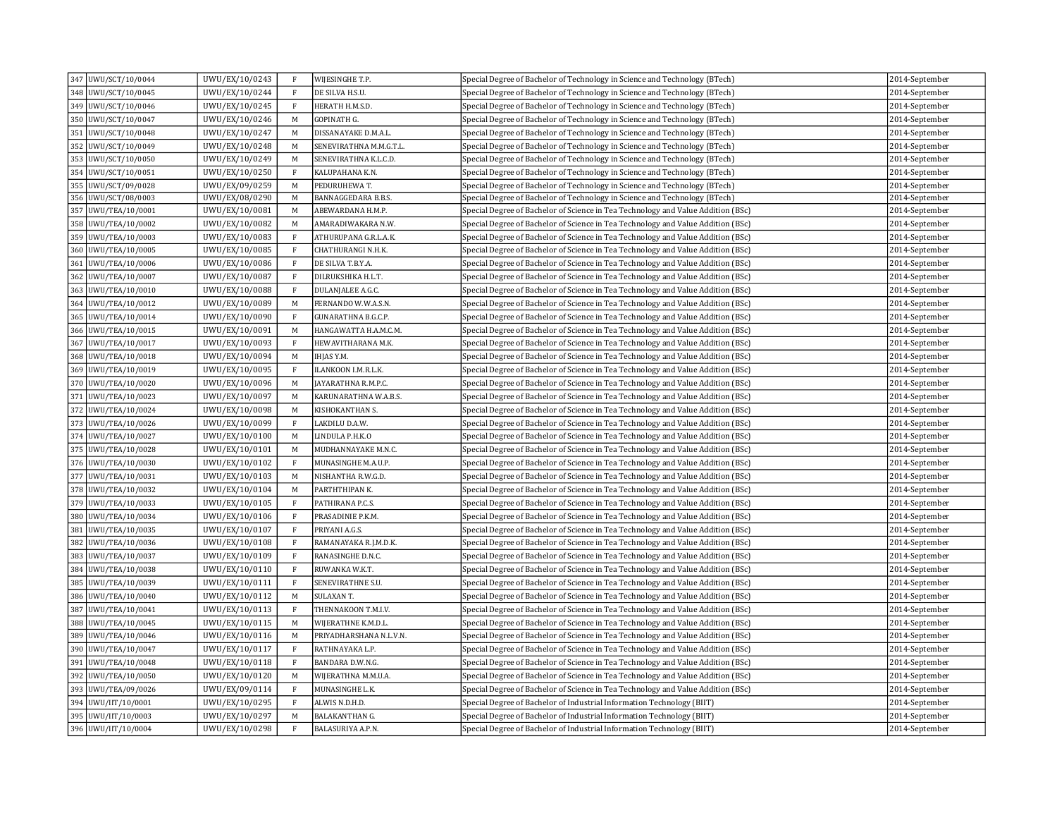| 347 UWU/SCT/10/0044 | UWU/EX/10/0243 | $\mathbf{F}$ | WIJESINGHE T.P.          | Special Degree of Bachelor of Technology in Science and Technology (BTech)       | 2014-September |
|---------------------|----------------|--------------|--------------------------|----------------------------------------------------------------------------------|----------------|
| 348 UWU/SCT/10/0045 | UWU/EX/10/0244 | $\mathbf{F}$ | DE SILVA H.S.U.          | Special Degree of Bachelor of Technology in Science and Technology (BTech)       | 2014-September |
| 349 UWU/SCT/10/0046 | UWU/EX/10/0245 | $\mathbf{F}$ | HERATH H.M.S.D.          | Special Degree of Bachelor of Technology in Science and Technology (BTech)       | 2014-September |
| 350 UWU/SCT/10/0047 | UWU/EX/10/0246 | M            | GOPINATH G.              | Special Degree of Bachelor of Technology in Science and Technology (BTech)       | 2014-September |
| 351 UWU/SCT/10/0048 | UWU/EX/10/0247 | M            | DISSANAYAKE D.M.A.L.     | Special Degree of Bachelor of Technology in Science and Technology (BTech)       | 2014-September |
| 352 UWU/SCT/10/0049 | UWU/EX/10/0248 | M            | SENEVIRATHNA M.M.G.T.L.  | Special Degree of Bachelor of Technology in Science and Technology (BTech)       | 2014-September |
| 353 UWU/SCT/10/0050 | UWU/EX/10/0249 | M            | SENEVIRATHNA K.L.C.D.    | Special Degree of Bachelor of Technology in Science and Technology (BTech)       | 2014-September |
| 354 UWU/SCT/10/0051 | UWU/EX/10/0250 | $\rm F$      | KALUPAHANA K.N.          | Special Degree of Bachelor of Technology in Science and Technology (BTech)       | 2014-September |
| 355 UWU/SCT/09/0028 | UWU/EX/09/0259 | M            | PEDURUHEWA T.            | Special Degree of Bachelor of Technology in Science and Technology (BTech)       | 2014-September |
| 356 UWU/SCT/08/0003 | UWU/EX/08/0290 | M            | BANNAGGEDARA B.B.S.      | Special Degree of Bachelor of Technology in Science and Technology (BTech)       | 2014-September |
| 357 UWU/TEA/10/0001 | UWU/EX/10/0081 | M            | ABEWARDANA H.M.P.        | Special Degree of Bachelor of Science in Tea Technology and Value Addition (BSc) | 2014-September |
| 358 UWU/TEA/10/0002 | UWU/EX/10/0082 | M            | AMARADIWAKARA N.W.       | Special Degree of Bachelor of Science in Tea Technology and Value Addition (BSc) | 2014-September |
| 359 UWU/TEA/10/0003 | UWU/EX/10/0083 | $\mathbf{F}$ | ATHURUPANA G.R.L.A.K.    | Special Degree of Bachelor of Science in Tea Technology and Value Addition (BSc) | 2014-September |
| 360 UWU/TEA/10/0005 | UWU/EX/10/0085 | $\mathbf{F}$ | CHATHURANGI N.H.K.       | Special Degree of Bachelor of Science in Tea Technology and Value Addition (BSc) | 2014-September |
| 361 UWU/TEA/10/0006 | UWU/EX/10/0086 | $\mathbf{F}$ | DE SILVA T.B.Y.A.        | Special Degree of Bachelor of Science in Tea Technology and Value Addition (BSc) | 2014-September |
| 362 UWU/TEA/10/0007 | UWU/EX/10/0087 | $\rm F$      | DILRUKSHIKA H.L.T.       | Special Degree of Bachelor of Science in Tea Technology and Value Addition (BSc) | 2014-September |
| 363 UWU/TEA/10/0010 | UWU/EX/10/0088 | $\mathbf{F}$ | DULANJALEE A.G.C.        | Special Degree of Bachelor of Science in Tea Technology and Value Addition (BSc) | 2014-September |
| 364 UWU/TEA/10/0012 | UWU/EX/10/0089 | M            | FERNANDO W.W.A.S.N.      | Special Degree of Bachelor of Science in Tea Technology and Value Addition (BSc) | 2014-September |
| 365 UWU/TEA/10/0014 | UWU/EX/10/0090 | $\mathbf{F}$ | GUNARATHNA B.G.C.P.      | Special Degree of Bachelor of Science in Tea Technology and Value Addition (BSc) | 2014-September |
| 366 UWU/TEA/10/0015 | UWU/EX/10/0091 | M            | HANGAWATTA H.A.M.C.M.    | Special Degree of Bachelor of Science in Tea Technology and Value Addition (BSc) | 2014-September |
| 367 UWU/TEA/10/0017 | UWU/EX/10/0093 | $\rm F$      | HEWAVITHARANA M.K.       | Special Degree of Bachelor of Science in Tea Technology and Value Addition (BSc) | 2014-September |
| 368 UWU/TEA/10/0018 | UWU/EX/10/0094 | M            | IHJAS Y.M.               | Special Degree of Bachelor of Science in Tea Technology and Value Addition (BSc) | 2014-September |
| 369 UWU/TEA/10/0019 | UWU/EX/10/0095 | $\rm F$      | ILANKOON I.M.R.L.K.      | Special Degree of Bachelor of Science in Tea Technology and Value Addition (BSc) | 2014-September |
| 370 UWU/TEA/10/0020 | UWU/EX/10/0096 | M            | AYARATHNA R.M.P.C.       | Special Degree of Bachelor of Science in Tea Technology and Value Addition (BSc) | 2014-September |
| 371 UWU/TEA/10/0023 | UWU/EX/10/0097 | M            | KARUNARATHNA W.A.B.S.    | Special Degree of Bachelor of Science in Tea Technology and Value Addition (BSc) | 2014-September |
| 372 UWU/TEA/10/0024 | UWU/EX/10/0098 | M            | KISHOKANTHAN S.          | Special Degree of Bachelor of Science in Tea Technology and Value Addition (BSc) | 2014-September |
| 373 UWU/TEA/10/0026 | UWU/EX/10/0099 | $_{\rm F}$   | LAKDILU D.A.W.           | Special Degree of Bachelor of Science in Tea Technology and Value Addition (BSc) | 2014-September |
| 374 UWU/TEA/10/0027 | UWU/EX/10/0100 | M            | LINDULA P.H.K.O          | Special Degree of Bachelor of Science in Tea Technology and Value Addition (BSc) | 2014-September |
| 375 UWU/TEA/10/0028 | UWU/EX/10/0101 | M            | MUDHANNAYAKE M.N.C.      | Special Degree of Bachelor of Science in Tea Technology and Value Addition (BSc) | 2014-September |
| 376 UWU/TEA/10/0030 | UWU/EX/10/0102 | $\mathbf{F}$ | MUNASINGHE M.A.U.P.      | Special Degree of Bachelor of Science in Tea Technology and Value Addition (BSc) | 2014-September |
| 377 UWU/TEA/10/0031 | UWU/EX/10/0103 | M            | NISHANTHA R.W.G.D.       | Special Degree of Bachelor of Science in Tea Technology and Value Addition (BSc) | 2014-September |
| 378 UWU/TEA/10/0032 | UWU/EX/10/0104 | M            | PARTHTHIPAN K.           | Special Degree of Bachelor of Science in Tea Technology and Value Addition (BSc) | 2014-September |
| 379 UWU/TEA/10/0033 | UWU/EX/10/0105 | $\mathbf{F}$ | PATHIRANA P.C.S.         | Special Degree of Bachelor of Science in Tea Technology and Value Addition (BSc) | 2014-September |
| 380 UWU/TEA/10/0034 | UWU/EX/10/0106 | $\mathbf{F}$ | PRASADINIE P.K.M.        | Special Degree of Bachelor of Science in Tea Technology and Value Addition (BSc) | 2014-September |
| 381 UWU/TEA/10/0035 | UWU/EX/10/0107 | $\mathbf{F}$ | PRIYANI A.G.S.           | Special Degree of Bachelor of Science in Tea Technology and Value Addition (BSc) | 2014-September |
| 382 UWU/TEA/10/0036 | UWU/EX/10/0108 | $\mathbf{F}$ | RAMANAYAKA R.J.M.D.K.    | Special Degree of Bachelor of Science in Tea Technology and Value Addition (BSc) | 2014-September |
| 383 UWU/TEA/10/0037 | UWU/EX/10/0109 | $\mathbf{F}$ | RANASINGHE D.N.C.        | Special Degree of Bachelor of Science in Tea Technology and Value Addition (BSc) | 2014-September |
| 384 UWU/TEA/10/0038 | UWU/EX/10/0110 | $\mathbf{F}$ | RUWANKA W.K.T.           | Special Degree of Bachelor of Science in Tea Technology and Value Addition (BSc) | 2014-September |
| 385 UWU/TEA/10/0039 | UWU/EX/10/0111 | $\rm F$      | SENEVIRATHNE S.U.        | Special Degree of Bachelor of Science in Tea Technology and Value Addition (BSc) | 2014-September |
| 386 UWU/TEA/10/0040 | UWU/EX/10/0112 | M            | SULAXAN T.               | Special Degree of Bachelor of Science in Tea Technology and Value Addition (BSc) | 2014-September |
| 387 UWU/TEA/10/0041 | UWU/EX/10/0113 | $\rm F$      | THENNAKOON T.M.I.V.      | Special Degree of Bachelor of Science in Tea Technology and Value Addition (BSc) | 2014-September |
| 388 UWU/TEA/10/0045 | UWU/EX/10/0115 | M            | WIJERATHNE K.M.D.L.      | Special Degree of Bachelor of Science in Tea Technology and Value Addition (BSc) | 2014-September |
| 389 UWU/TEA/10/0046 | UWU/EX/10/0116 | M            | PRIYADHARSHANA N.L.V.N.  | Special Degree of Bachelor of Science in Tea Technology and Value Addition (BSc) | 2014-September |
| 390 UWU/TEA/10/0047 | UWU/EX/10/0117 | $\mathbf{F}$ | RATHNAYAKA L.P.          | Special Degree of Bachelor of Science in Tea Technology and Value Addition (BSc) | 2014-September |
| 391 UWU/TEA/10/0048 | UWU/EX/10/0118 | $\mathbf{F}$ | BANDARA D.W.N.G.         | Special Degree of Bachelor of Science in Tea Technology and Value Addition (BSc) | 2014-September |
| 392 UWU/TEA/10/0050 | UWU/EX/10/0120 | M            | WIJERATHNA M.M.U.A.      | Special Degree of Bachelor of Science in Tea Technology and Value Addition (BSc) | 2014-September |
| 393 UWU/TEA/09/0026 | UWU/EX/09/0114 | $\mathbf{F}$ | MUNASINGHE L.K.          | Special Degree of Bachelor of Science in Tea Technology and Value Addition (BSc) | 2014-September |
| 394 UWU/IIT/10/0001 | UWU/EX/10/0295 | $\mathbf{F}$ | ALWIS N.D.H.D.           | Special Degree of Bachelor of Industrial Information Technology (BIIT)           | 2014-September |
| 395 UWU/IIT/10/0003 | UWU/EX/10/0297 | M            | <b>BALAKANTHAN G.</b>    | Special Degree of Bachelor of Industrial Information Technology (BIIT)           | 2014-September |
| 396 UWU/IIT/10/0004 | UWU/EX/10/0298 | $\rm F$      | <b>BALASURIYA A.P.N.</b> | Special Degree of Bachelor of Industrial Information Technology (BIIT)           | 2014-September |